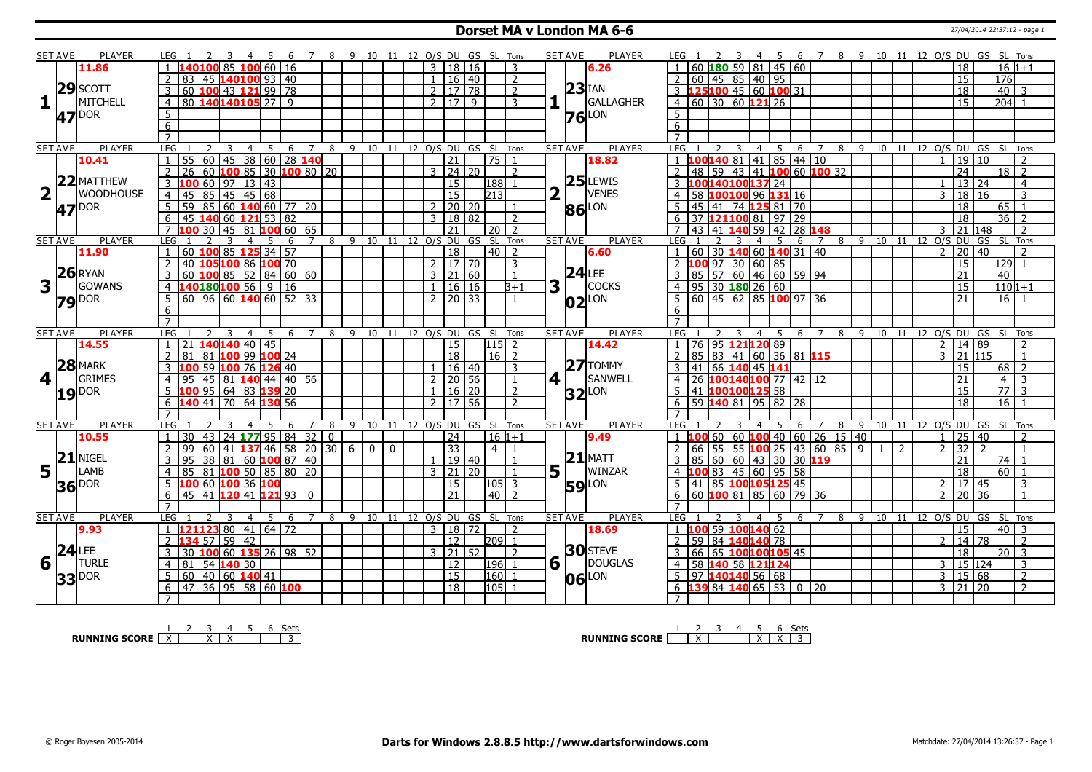#### **Dorset MA v London MA 6-6** 27/04/2014 22:37:12 - page 1

|                         | <b>SET AVE</b> | <b>PLAYER</b>    | LEG 1<br>- 5                                                                   | - 9<br>- 8          |                             |              |              |                           |     | 10 11 12 O/S DU GS SL Tons     |                      | <b>SET AVE</b><br><b>PLAYER</b> | 2 3 4 5 6 7 8 9 10 11 12 O/S DU GS SL Tons<br>LEG 1                                                                                     |
|-------------------------|----------------|------------------|--------------------------------------------------------------------------------|---------------------|-----------------------------|--------------|--------------|---------------------------|-----|--------------------------------|----------------------|---------------------------------|-----------------------------------------------------------------------------------------------------------------------------------------|
|                         |                | 11.86            | LOO 60 I<br>16                                                                 |                     |                             |              |              | 3   18   16               |     | 3                              |                      | 6.26                            | 60 $180$ 59 81 45 60<br>18<br>$16 1+1$                                                                                                  |
|                         |                |                  | 83<br>140 <mark>100</mark> 93   40<br>45                                       |                     |                             |              |              | 16 40                     |     | 2                              |                      |                                 | 60 45 85 40 95<br>176<br>15                                                                                                             |
|                         | 29             | <b>SCOTT</b>     | 100 43 121 99 78<br>3<br>60                                                    |                     |                             |              |              | 2   17   78               |     | $\overline{2}$                 |                      | $23$ <sup>IAN</sup>             | 3 125100 45 60 100 31<br>40<br>18<br>-3                                                                                                 |
| $\mathbf{1}$            |                | <b>MITCHELL</b>  | 80 140140105 27 9<br>$\overline{4}$                                            |                     |                             |              |              | 7179                      |     | 3                              |                      | <b>GALLAGHER</b>                | 4   60   30   60   121   26<br>$\overline{15}$<br>$204$ 1                                                                               |
|                         |                |                  | 5                                                                              |                     |                             |              |              |                           |     |                                |                      | LON                             | 5 <sup>1</sup>                                                                                                                          |
|                         |                | <b>47</b> DOR    | 6                                                                              |                     |                             |              |              |                           |     |                                |                      | 76                              | 6                                                                                                                                       |
|                         |                |                  | $\overline{7}$                                                                 |                     |                             |              |              |                           |     |                                |                      |                                 | $\overline{7}$                                                                                                                          |
|                         | <b>SET AVE</b> | <b>PLAYER</b>    | <b>LEG</b><br>5<br>$\overline{2}$<br>$\overline{3}$<br>$\overline{4}$<br>6     | $\overline{7}$      |                             |              |              |                           |     | 8 9 10 11 12 O/S DU GS SL Tons |                      | <b>PLAYER</b><br><b>SET AVE</b> | <b>LEG</b><br>8 9 10 11 12 0/S DU GS SL Tons<br>4 <sub>5</sub><br>$\overline{3}$<br>6 7                                                 |
|                         |                | 10.41            | $60$ 45 38 60 28 140<br>$\mathbf{1}$<br>55                                     |                     |                             |              |              | $\overline{21}$           |     | $75$ 1                         |                      | 18.82                           | $1 \vert 100140 \vert 81 \vert 41 \vert 85 \vert 44 \vert 10$<br>19 10<br>$\overline{2}$<br>$\mathbf{1}$                                |
|                         |                |                  | 100 85 30 100 80 20<br>$\overline{2}$<br>$\overline{26}$<br>60                 |                     |                             |              |              | $3 \mid 24 \mid 20$       |     | $\overline{2}$                 |                      |                                 | 48 59 43 41 100 60 100 32<br>$\overline{24}$<br>$18$   2                                                                                |
|                         |                | $22$ MATTHEW     | $\overline{3}$<br>60<br>13 43<br> 97                                           |                     |                             |              |              | 15                        |     | 188 1                          |                      | $25$ LEWIS                      | 0014010013724<br>$\overline{13}$<br>24<br>$\overline{4}$                                                                                |
| $\overline{\mathbf{2}}$ |                | <b>WOODHOUSE</b> | $145$ 45 68<br>85                                                              |                     |                             |              |              | 15                        |     | 213                            |                      | VENES                           | 100100 96 131 16<br>18<br>58<br>3<br>16<br>3                                                                                            |
|                         |                |                  | $\overline{4}$<br>45<br>$\overline{5}$<br>$85 \ 60 \ 140 \ 60 \ 77 \ 20$<br>59 |                     |                             |              | $2^{\circ}$  | 20 20                     |     |                                |                      |                                 | 45<br>$74$ 125 81 70<br>18<br>65<br>$\overline{1}$                                                                                      |
|                         |                | 47 DOR           |                                                                                |                     |                             |              | $\mathbf{3}$ |                           |     |                                |                      | 86 LON                          | 41                                                                                                                                      |
|                         |                |                  | 140 60 121 53 82<br>6<br>45<br>$\overline{7}$                                  |                     |                             |              |              | 18 82                     |     | $\overline{2}$                 |                      |                                 | $97$ 29<br>$36 \mid 2$<br>121100 81<br>18<br>$\overline{2}$<br>$\overline{7}$                                                           |
|                         |                |                  | 30<br>45 81 100 60 65                                                          |                     |                             |              |              | $\overline{21}$           |     | $\sqrt{20}$ 2                  |                      |                                 | 42 28 148<br>140 59<br>$\sqrt{21}$   148  <br>43<br>२<br>41                                                                             |
|                         | <b>SET AVE</b> | <b>PLAYER</b>    | LEG<br>5<br>6                                                                  | 8<br>$\overline{7}$ | $\overline{9}$<br>$10$ $11$ |              | 12 0/S DU GS |                           |     | SL Tons                        |                      | <b>SET AVE</b><br><b>PLAYER</b> | $\overline{9}$<br>10<br>12 0/S DU<br>GS SL<br>LEG<br>5<br>8<br>11<br>Tons<br>$\overline{4}$<br>6<br>7<br>$\mathcal{L}$<br>$\mathcal{L}$ |
|                         |                | 11.90            | 60 100 85 125 34 57                                                            |                     |                             |              |              | 18<br>$2 \mid 17 \mid 70$ |     | $40$   2                       |                      | 6.60                            | 60 30 140 60 140 31 40<br>20<br>40                                                                                                      |
|                         |                | $26$ RYAN        | 40<br>105 100 86 100 70<br>$\overline{2}$                                      |                     |                             |              |              |                           |     | 3                              |                      | $24$ LEE                        | 2 100 97 30 60 85<br>15<br>129 1                                                                                                        |
|                         |                |                  | $10085$ 52 84 60 60<br>60<br>3                                                 |                     |                             |              |              | 3 21 60                   |     | $\overline{1}$                 |                      |                                 | 85 57 60 46 60 59 94<br>21<br>40<br>3                                                                                                   |
| $\overline{\mathbf{3}}$ |                | <b>GOWANS</b>    | 140180100 56 9 16<br>4                                                         |                     |                             |              |              | $1 \mid 16 \mid 16$       |     | $B+1$                          | 3                    | <b>COCKS</b>                    | $95$ 30 180 26 60<br>15<br>110 1+1<br>4                                                                                                 |
|                         |                | <b>79</b> DOR    | $\overline{60}$ 96 60 140 60 52 33<br>5                                        |                     |                             |              |              | $2 \mid 20 \mid 33$       |     | $\overline{1}$                 |                      | $ 02 $ LON                      | 60 45 62 85 100 97 36<br>21<br>$16$   1                                                                                                 |
|                         |                |                  | 6                                                                              |                     |                             |              |              |                           |     |                                |                      |                                 | 6                                                                                                                                       |
|                         |                |                  | $\overline{7}$                                                                 |                     |                             |              |              |                           |     |                                |                      |                                 |                                                                                                                                         |
|                         | <b>SET AVE</b> | <b>PLAYER</b>    | LEG<br>$\overline{4}$<br>-5<br>-6                                              | $\overline{7}$<br>8 |                             |              |              |                           |     | 9 10 11 12 O/S DU GS SL Tons   |                      | <b>SET AVE</b><br><b>PLAYER</b> | LEG<br>9<br>10 11<br>12 O/S DU GS SL Tons<br>- 5<br>$\overline{7}$<br>8<br>$\overline{4}$<br>6                                          |
|                         |                | 14.55            | $140$ 140 40 45                                                                |                     |                             |              |              | <sup>15</sup>             |     | l115l 2                        |                      | 14.42                           | 76 95 121120 89<br>14 89<br>$2^{\circ}$<br>$\overline{z}$                                                                               |
|                         |                | $28$ MARK        | 100 99 100 24<br>$\overline{2}$<br>81<br>81                                    |                     |                             |              |              | 18                        |     | $16$   2                       |                      | $27$ TOMMY                      | 85   83   41   60   36   81   15<br>21 115<br>$\mathcal{E}$<br>$\overline{1}$                                                           |
|                         |                |                  | 59<br>100 76 126 40<br>3                                                       |                     |                             |              |              | 16 40                     |     | 3                              |                      |                                 | 66 140 45 141<br>68<br>$\overline{2}$<br>41<br>15                                                                                       |
| 4                       |                | <b>GRIMES</b>    | 45 81 140 44 40 56<br>$\overline{4}$<br>95                                     |                     |                             |              |              | $2 \mid 20 \mid 56$       |     | $\overline{1}$                 | $4$   $\overline{ }$ | SANWELL                         | 26 100140100 77 42 12<br>21<br>4<br>$\overline{4}$<br>$\mathbf{3}$                                                                      |
|                         | 19             | <b>DOR</b>       | 95   64   83   139   20<br>5                                                   |                     |                             |              | $\mathbf{1}$ | $16$ 20                   |     | 2                              |                      | $32$ LON                        | 41 100100125 58<br>$\overline{77}$<br>5<br>15<br>$\overline{3}$                                                                         |
|                         |                |                  | 140 41 70 64 130 56<br>6                                                       |                     |                             |              |              | $2 \mid 17 \mid 56$       |     | $\overline{2}$                 |                      |                                 | $\overline{18}$<br>$16$   1<br>6 59 <b>140</b> 81 95 82 28                                                                              |
|                         |                |                  | $\overline{7}$                                                                 |                     |                             |              |              |                           |     |                                |                      |                                 | $\overline{7}$                                                                                                                          |
|                         | <b>SET AVE</b> | <b>PLAYER</b>    | <b>LEG</b><br>6                                                                | 8<br>7              |                             |              |              |                           |     | 9 10 11 12 O/S DU GS SL Tons   |                      | <b>SET AVE</b><br><b>PLAYER</b> | LEG 1<br>- 9<br>10 11 12 O/S DU GS SL Tons<br>8<br>6<br>7<br>4                                                                          |
|                         |                | 10.55            | 24 <b>  177</b> 95   84   32   0<br>30<br>43<br>$\mathbf{1}$                   |                     |                             |              |              | $\sqrt{24}$               |     | $16 1+1$                       |                      | 9.49                            | $60$ 26 15 40<br>60 60 100 40<br>$\overline{25}$<br>40<br>$\overline{2}$<br>$1\,100$<br>1                                               |
|                         |                | $21$ NIGEL       | $\overline{2}$<br>99<br>60<br>46<br>41<br>137                                  | 58 20 30<br>6       | $\overline{0}$              | $\mathbf{0}$ |              | $\overline{33}$           |     | $4 \mid 1$                     |                      |                                 | 55 55 100 25<br> 43 60 85 9<br>32<br>$\overline{2}$<br>$\overline{1}$<br>2<br>2<br>$\overline{2}$<br>66<br>$\mathbf{1}$                 |
|                         |                |                  | 3<br>38 81 60 <b>100</b> 87 40<br>95                                           |                     |                             |              |              | 19 40                     |     |                                |                      | $21$ MATT                       | 85 60 60 43 30 30 119<br>21<br>$3-1$<br>74 l<br>$\overline{1}$                                                                          |
|                         | $5^{\text{h}}$ | LAMB             | $100$ 50 85 80 20<br>85<br>81<br>$\overline{4}$                                |                     |                             |              |              | 3 21                      | 120 |                                | 5 <sup>1</sup>       | WINZAR                          | 83 45 60 95 58<br>18<br>60<br>$\overline{1}$                                                                                            |
|                         |                |                  | 100 60 100 36 100<br>5                                                         |                     |                             |              |              | $\overline{15}$           |     | l105l 3                        |                      | <b>59</b> LON                   | 41 85 100105125 45<br>17 45<br>3<br>.5<br>$2^{\circ}$                                                                                   |
|                         |                |                  |                                                                                |                     |                             |              |              |                           |     |                                |                      |                                 |                                                                                                                                         |
|                         |                | 36 DOR           | 6<br>45<br>41 120 41 121 93                                                    | $\Omega$            |                             |              |              | 21                        |     | $40\overline{2}$               |                      |                                 | 60 100 81<br>$\overline{85}$<br>$60$ 79 36<br>$\overline{20}$<br>$\overline{36}$<br>6<br>$\overline{2}$<br>$\overline{1}$               |
|                         |                |                  | $\overline{7}$                                                                 |                     |                             |              |              |                           |     |                                |                      |                                 | $\overline{7}$                                                                                                                          |
|                         | <b>SET AVE</b> | <b>PLAYER</b>    | LEG <sub>1</sub><br>3<br>5<br>$\overline{4}$<br>-6                             | 8<br>$\overline{7}$ |                             |              |              |                           |     | 9 10 11 12 O/S DU GS SL Tons   |                      | <b>SET AVE</b><br><b>PLAYER</b> | 9 10 11 12 0/S DU GS SL Tons<br>LEG <sub>1</sub><br>3<br>5<br>8<br>4<br>-6<br>$\overline{7}$                                            |
|                         |                | 9.93             | <b>121123</b> 80   41   64   72<br>$\mathbf{1}$                                |                     |                             |              |              | 3   18   72               |     | $\overline{2}$                 |                      | 18.69                           | 59 100140 62<br>15<br>$40 \mid 3$<br>$1\,100$                                                                                           |
|                         |                |                  | 59 42<br>13457<br>$\overline{2}$                                               |                     |                             |              |              | 12                        |     | l209l 1                        |                      |                                 | 59 84 140140 78<br>14 78<br>2<br>$\mathcal{P}$<br>$\overline{2}$                                                                        |
|                         |                | $24$ LEE         | 10060135269852<br>3<br>30                                                      |                     |                             |              |              | $3 \mid 21 \mid 52$       |     | $\overline{z}$                 |                      | <b>30</b> STEVE                 | 66 65 100100105 45<br>$\overline{18}$<br>$\overline{20}$ 3<br>3                                                                         |
| 6                       |                | <b>TURLE</b>     | 140 30<br>$\overline{4}$<br>81<br>54                                           |                     |                             |              |              | $\overline{12}$           |     | 196  1                         | $6\vert$             | DOUGLAS                         | 58 140 58 121124<br>15 124<br>$\overline{4}$<br>3<br>3                                                                                  |
|                         |                | <b>DOR</b>       | 60   40   60   140   41<br>5                                                   |                     |                             |              |              | $ 15\rangle$              |     | $160$ 1                        |                      | LON                             | $5 \mid 97 \mid 140 \mid 140 \mid 56 \mid 68$<br>3   15   68<br>$\overline{2}$                                                          |
|                         | 33             |                  | 47 36 95 58 60 100<br>6                                                        |                     |                             |              |              | $\overline{18}$           |     | $ 105 $ 1                      |                      | 06                              | $\overline{2}$<br>6 $\sqrt{139}$ 84 $\sqrt{140}$ 65   53   0   20<br>$3 \mid 21 \mid 20$                                                |

**RUNNING SCORE**  $\begin{array}{|c|c|c|c|c|}\n\hline\n\textbf{1} & \textbf{2} & \textbf{3} & \textbf{4} & \textbf{5} & \textbf{6} & \textbf{Sets} \\
\hline\n\textbf{5} & \textbf{5} & \textbf{6} & \textbf{7} & \textbf{8} & \textbf{1} & \textbf{1} & \textbf{1} \\
\hline\n\textbf{6} & \textbf{7} & \textbf{8} & \textbf{1} & \textbf{1} & \textbf{1} & \textbf{1} & \textbf{1} & \textbf{1} \\
\hline\n\textbf$ 

**RUNNING SCORE** | <u>X | X | X | X | 3</u><br>RUNNING SCORE | <u>X | X | X | X | 3</u>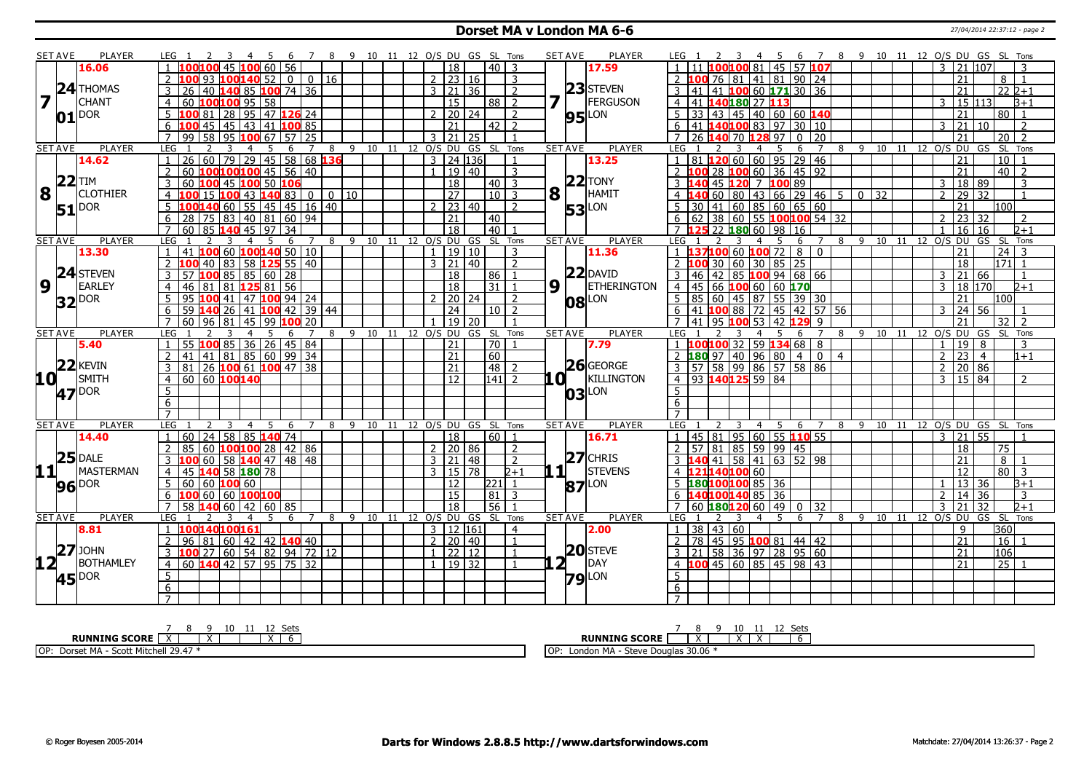#### **Dorset MA v London MA 6-6** 27/04/2014 22:37:12 - page 2

|                 | <b>SET AVE</b> | <b>PLAYER</b>       | LEG                                                      | - 8<br>7                  | 9 10 11 12 O/S DU GS SL Tons |                |                      |                       |                          | <b>SET AVE</b>  | <b>PLAYER</b>       | 8 9 10 11 12 O/S DU GS SL Tons<br>$\overline{7}$<br>LEG 1<br>- 6                                             |                                   |
|-----------------|----------------|---------------------|----------------------------------------------------------|---------------------------|------------------------------|----------------|----------------------|-----------------------|--------------------------|-----------------|---------------------|--------------------------------------------------------------------------------------------------------------|-----------------------------------|
|                 |                | 16.06               | 00 100 45 100 60 56                                      |                           |                              |                | 18                   |                       | 40   3                   |                 | 17.59               | 100100 81 45 57 107<br>$3 \mid 21 \mid 107$                                                                  | $\mathbf{3}$                      |
|                 |                |                     | 93 $100140$ 52   0   0   16                              |                           |                              |                | $2 \mid 23 \mid 16$  |                       | 3                        |                 |                     | 41 81 90 24<br>21<br>76<br>-81                                                                               | $8 \mid 1$                        |
|                 |                | $24$ THOMAS         | 40 <b>140</b> 85 <b>100</b> 74 36                        |                           |                              |                | $3 \mid 21 \mid 36$  |                       | $\overline{\phantom{0}}$ |                 | $23$ STEVEN         | 100 60 171 30 36<br>21                                                                                       | $22\overline{2+1}$                |
|                 |                | <b>CHANT</b>        | $60$ 100100 95 58<br>$\overline{4}$                      |                           |                              |                | 15                   | 88 l                  | 2                        |                 | FERGUSON            | 40180 27 113<br>15 113 <br>$\overline{4}$<br>3                                                               | $B+1$                             |
|                 |                | <b>DOR</b>          | 81 28 95 47 126 24                                       |                           |                              |                | 20 24                |                       | 2                        |                 |                     | 45<br>40<br>60 60 140<br>l 43<br>21                                                                          | 80 l<br>$\overline{1}$            |
|                 | 01             |                     | 45   45   43   41 <b>100</b> 85<br>100                   |                           |                              |                | 21                   |                       | $42$   2                 |                 | $95$ <sup>LON</sup> | 140100 83 97 30 10<br>6<br>3 21 <br>$10^{-1}$<br>l 41                                                        | $\overline{2}$                    |
|                 |                |                     | $\overline{58}$<br>$\overline{7}$<br>99<br><b>95 100</b> | 67 57 25                  |                              | $\mathcal{R}$  | $\overline{21}$      | $\frac{125}{25}$      |                          |                 |                     | $\overline{7}$<br>26<br>140 70 128 97<br>$\overline{0}$<br>20<br>21                                          | 20 <sup>1</sup><br>$\overline{2}$ |
|                 | <b>SET AVE</b> | <b>PLAYER</b>       | <b>LEG</b>                                               | 7<br>8                    | 9 10 11 12 O/S DU            |                |                      | GS SL Tons            |                          | <b>SET AVE</b>  | PLAYER              | LEG<br>10<br>12 O/S DU<br>8<br>-9<br>11<br>GS<br>6<br>7                                                      | SL Tons                           |
|                 |                | 14.62               | 60 79 29 45 58 68 136<br>26                              |                           |                              |                | $3$   24   136       |                       | -1                       |                 | 13.25               | 81 20 60 60 95 29 46<br>21<br>$\mathbf{1}$                                                                   | 10 <sup>1</sup>                   |
|                 |                |                     | 60 $100100100$ 45 56 40<br>$\overline{2}$                |                           |                              |                | 1   19   40          |                       | 3                        |                 |                     | 2 100 28 100 60 36 45 92<br>$\overline{21}$                                                                  | $40\overline{2}$                  |
|                 | $22$ TIM       |                     | 3<br>60 100 45 100 50 106                                |                           |                              |                |                      |                       |                          |                 | $22$ TONY           | 45 120 7 100 89                                                                                              | 3                                 |
| 8               |                | <b>CLOTHIER</b>     |                                                          |                           |                              |                | $\overline{18}$      |                       | $40\overline{3}$         |                 | HAMIT               | 18 <sup>1</sup><br>89<br>3                                                                                   |                                   |
|                 |                |                     | <b>100 43 140 83  </b><br>$\overline{a}$                 | $\Omega$<br>$0$   10      |                              |                | 27                   |                       | $10$   3                 | $8\sqrt{1}$     |                     | 43 66 29 46<br>29<br>$\vert$ 60<br>5<br>$\overline{0}$<br>32<br>$\overline{2}$<br>32<br>$\overline{4}$<br>80 | $\overline{1}$                    |
|                 |                | $51$ <sup>DOR</sup> | .00 <mark>140</mark> 60   55   45   45   16   40         |                           |                              |                | 23 40                |                       | $\overline{2}$           |                 | <b>53</b> LON       | 60 85 60 65 60<br>21<br>41<br>30                                                                             | 100                               |
|                 |                |                     | 83   40   81   60   94<br>6<br>28                        |                           |                              |                | 21                   | 40                    |                          |                 |                     | 38<br>  60   55   100 100 54   32<br>23<br>32<br>62<br>6                                                     | 2                                 |
|                 |                |                     | 60   85 <b>140</b> 45   97   34                          |                           |                              |                | $\overline{18}$      | 40                    |                          |                 |                     | 25 22 180 60 198 116<br>16<br>16.                                                                            | $D+1$                             |
|                 | <b>SET AVE</b> | <b>PLAYER</b>       | LEG                                                      | 8<br>6                    | 9 10 11 12 0/S DU GS SL Tons |                |                      |                       |                          | <b>SET AVE</b>  | <b>PLAYER</b>       | 8 9<br>10 11 12 O/S DU<br>LEG<br>GS<br>$\overline{a}$<br>5<br>6<br>7                                         | - SL<br>Tons                      |
|                 |                | 13.30               | 41 100 60 100 140 50 10                                  |                           |                              |                | 19 10                |                       | 3                        |                 | 11.36               | 37100 60 100 72 8 0<br>21                                                                                    | 24<br>3                           |
|                 |                |                     | 83   58 <b>125</b> 55   40<br>40                         |                           |                              |                | $3 \mid 21 \mid 40$  |                       | $\mathcal{P}$            |                 |                     | $60 \mid 30$<br>$85$ 25<br>$2\,100$<br>18<br>30                                                              | $171 \mid 1$                      |
|                 |                | 24 STEVEN           | $\mathbf{3}$<br>LOO 85   85   60   28<br>57 H            |                           |                              |                | 18                   | 86                    | $\overline{1}$           |                 | $22$ DAVID          | $\overline{142}$<br>85 100 94 68 66<br>3<br>3 21 <br>66<br>l 46                                              | $\overline{1}$                    |
| 9               |                | <b>EARLEY</b>       | 81 125 81 56<br>46<br>81<br>$\overline{4}$               |                           |                              |                | 18                   | 31                    | $\mathbf{1}$             | 9 ∣ ⊥           | <b>ETHERINGTON</b>  | 45<br>66 100 60 60 170<br>18<br>170<br>$\overline{4}$<br>$\mathbf{R}$                                        | $2 + 1$                           |
|                 | <b>32</b> DOR  |                     | 5.<br>95 100 41   47 100 94   24                         |                           |                              |                | $2 \ 20 \ 24$        |                       | $\mathcal{D}$            |                 | <b>08</b> LON       | 60   45   87   55   39   30<br>$5 \mid 85$<br>21                                                             | 100                               |
|                 |                |                     | $140$ 26 41 $100$ 42 39 44<br>6<br>59                    |                           |                              |                | $\overline{24}$      |                       | $10$   2                 |                 |                     | <b>100</b> 88 72 45 42 57 56<br>24<br>6<br>56<br>41<br>२                                                     |                                   |
|                 |                |                     | 60<br>  81   45   99<br>$\overline{7}$                   | 20                        |                              |                | $19$ 20              |                       |                          |                 |                     | $\overline{7}$<br>57.001<br>$421$ 129<br>21<br>95<br>q                                                       | 32<br>$\overline{2}$              |
|                 | <b>SET AVE</b> | <b>PLAYER</b>       | LEG                                                      | 7<br>8                    | 9                            |                |                      | 10 11 12 0/S DU GS SL | Tons                     | <b>SET AVE</b>  | <b>PLAYER</b>       | LEG<br>9<br>10<br>12 <sup>°</sup><br>$O/S$ DU<br>8<br>11<br>6                                                | GS SL Tons                        |
|                 |                | 5.40                | LOO 85 36 26 45 84<br>55 h                               |                           |                              |                | 21                   | l 70 l                | $\mathbf{1}$             |                 | 7.79                | 1 <b>100100</b> 32 59 <b>134</b> 68 8<br>19<br>8<br>$\mathbf{1}$                                             | 3                                 |
|                 |                |                     | 41 41 81 85 60 99 34                                     |                           |                              |                | 21                   | 60                    |                          |                 |                     | 96 80 4<br>40<br>$\mathcal{P}$<br>23<br>80 97<br>$\mathbf{0}$<br>$\overline{4}$<br>$\overline{4}$            | $1 + 1$                           |
|                 |                | $22$ <b>KEVIN</b>   | 26 100 61 100 47 38<br>81 l                              |                           |                              |                | 21                   | 48                    | - 7                      |                 | 26 GEORGE           | 57   58   99   86   57   58   86<br>$\mathcal{P}$<br>20 86                                                   |                                   |
| 10 <sup>1</sup> |                | SMITH               | 60 60 100 140<br>$\overline{4}$                          |                           |                              |                | 12                   | 141                   | $\mathcal{L}$            | 10 I            | KILLINGTON          | 4 93 140125 59 84<br>$3 \mid 15 \mid 84 \mid$                                                                | $\overline{z}$                    |
|                 |                | 47 <sup>DOR</sup>   | 5                                                        |                           |                              |                |                      |                       |                          |                 | 03 LON              | 5                                                                                                            |                                   |
|                 |                |                     | 6                                                        |                           |                              |                |                      |                       |                          |                 |                     | 6                                                                                                            |                                   |
|                 |                |                     | $\overline{7}$                                           |                           |                              |                |                      |                       |                          |                 |                     | $\overline{7}$                                                                                               |                                   |
|                 | <b>SET AVE</b> | <b>PLAYER</b>       | LEG<br>5<br>3<br>$\overline{4}$                          | $\overline{7}$<br>-6<br>8 | 9 10 11 12 O/S DU GS SL Tons |                |                      |                       |                          | <b>SET AVE</b>  | PLAYER              | <b>LEG</b><br>-5<br>6<br>$\overline{7}$<br>89<br>10 11<br>12 O/S DU GS SL Tons<br>$\overline{4}$             |                                   |
|                 |                | 14.40               | 24 58 85 140 74<br>60 l<br>$\overline{1}$                |                           |                              |                | 18                   |                       | 60 1                     |                 | 16.71               | 95   60   55 <b>110</b> 55<br>21<br>55<br>81<br>$\mathbf{1}$<br>l 45<br>3                                    | $\overline{1}$                    |
|                 |                |                     | 60 $100100$ 28   42   86<br>$\overline{2}$<br>85         |                           |                              |                | 2   20   86          |                       | 2                        |                 |                     | $\overline{2}$<br>85 59 99 45<br>57<br>  81<br>18                                                            | $\overline{75}$                   |
|                 |                | $25$ DALE           | 60   58 <b> 140</b> 47   48   48                         |                           |                              |                | 3 21 48              |                       | 2                        |                 | $27$ CHRIS          | .40 41 58 41 63 52 98<br>21                                                                                  | 8 <sup>1</sup><br>- 1             |
| 11+             |                | MASTERMAN           | <b>140 58 180 78</b><br>$\overline{4}$                   |                           |                              | $\overline{3}$ | 15   78              |                       | $2 + 1$                  | $1\overline{1}$ | <b>STEVENS</b>      | 21140100 60<br>12                                                                                            | 80 l<br>3                         |
|                 |                |                     | $5-1$<br>60   60   100   60                              |                           |                              |                | 12                   | 221                   | $\mathbf{1}$             |                 |                     | 5 180100100 85 36<br>13 36                                                                                   | $B+1$                             |
|                 |                | 96 DOR              | 100 60 60 100 100                                        |                           |                              |                | 15                   | 81                    | 3                        |                 | <b>87</b> LON       | 140100140 85 36<br>14<br>$\mathcal{L}$<br>36                                                                 | 3                                 |
|                 |                |                     | $\overline{7}$<br>58 140 60   42   60   85               |                           |                              |                | 18                   | 56                    | $\mathbf{1}$             |                 |                     | 60 180120 60<br>$49$ 0<br>32<br>32<br>$\overline{7}$<br>3<br>21                                              | $\sqrt{2+1}$                      |
|                 |                | PLAYER              | .5                                                       | $\overline{7}$            |                              |                |                      |                       |                          |                 |                     | LEG 1<br>9<br>10<br>12 0/S DU<br>$\overline{7}$<br>11                                                        |                                   |
|                 | <b>SET AVE</b> | 8.81                | LEG<br>$\overline{4}$<br>100140100161                    | 8<br>6                    | 9 10 11 12 O/S DU GS SL Tons |                | $3 \mid 12 \mid 161$ |                       |                          | <b>SET AVE</b>  | PLAYER              | -5<br>6<br>8<br>4<br>$38 \mid 43 \mid 60$<br>9<br>$\mathbf{1}$                                               | GS SL Tons<br>360                 |
|                 |                |                     |                                                          |                           |                              |                |                      |                       | 4                        |                 | 12.00               | 78                                                                                                           |                                   |
|                 |                | $27$ JOHN           | 96   81   60   42   42 <b>140</b>   40<br>2              |                           |                              |                | 2 20 40              |                       | $\mathbf{1}$             |                 | $20$ STEVE          | $\overline{21}$<br>2<br>  45   95   100 81   44   42                                                         | 16 <sup>1</sup>                   |
|                 |                |                     | 3 <b>100</b> 27   60   54   82   94   72   12            |                           |                              |                | $1 \mid 22 \mid 12$  |                       | $\mathbf{1}$             |                 |                     | 58 36 97 28 95 60<br>21<br>$3 \mid 21$                                                                       | 106                               |
| $12^{-}$        |                | <b>BOTHAMLEY</b>    | 60 140 42 57 95 75 32<br>$\overline{4}$                  |                           |                              |                | 1   19   32          |                       | $\mathbf{1}$             | ו 2             | <b>IDAY</b>         | $4 \overline{100}$ 45 60 85 45 98 43<br>21                                                                   | $\overline{25}$   1               |
|                 |                | <b>45</b> DOR       | 5                                                        |                           |                              |                |                      |                       |                          |                 | $79$ <sup>LON</sup> | 5                                                                                                            |                                   |
|                 |                |                     | 6                                                        |                           |                              |                |                      |                       |                          |                 |                     | 6                                                                                                            |                                   |
|                 |                |                     | $\overline{7}$                                           |                           |                              |                |                      |                       |                          |                 |                     |                                                                                                              |                                   |

**RUNNING SCORE**  $\begin{array}{|c|c|c|c|c|}\n\hline\n\text{7} & 8 & 9 & 10 & 11 & 12 & \text{Sets} \\
\hline\n\text{RUNNING SCORE} & \times & & \times & & \times & \times & \text{6}\n\end{array}$  OP: Dorset MA - Scott Mitchell 29.47 \* **RUNNING SCORE** 7 8 X 9 10 X 11 X 12 Sets 6 OP: London MA - Steve Douglas 30.06 \*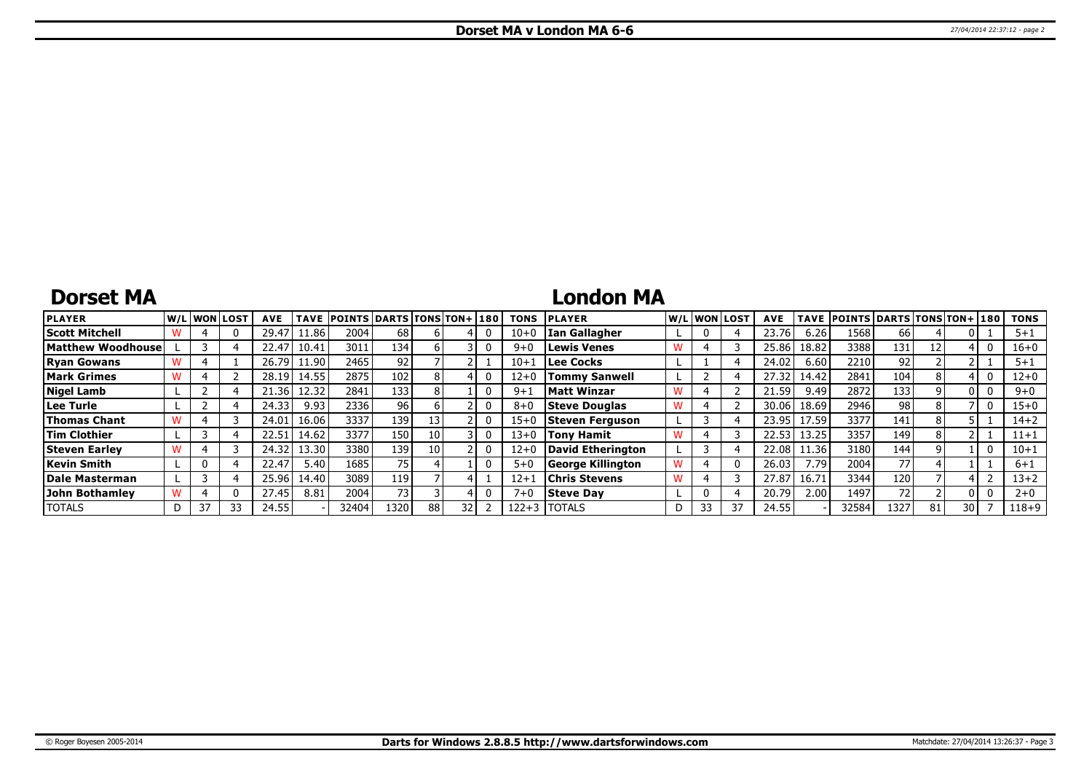# **Dorset MA**

### **London MA**

| <b>PLAYER</b>         |   | W/L WON LOST |    | <b>AVE</b> | <b>TAVE</b> | <b>POINTS DARTS TONS TON+1180</b> |                 |    |    | <b>TONS</b> | <b>PLAYER</b>        |   |    | W/L WON LOST | <b>AVE</b> | <b>TAVE</b> | <b>POINTS DARTS TONS TON+ 180</b> |      |    |      | <b>TONS</b> |
|-----------------------|---|--------------|----|------------|-------------|-----------------------------------|-----------------|----|----|-------------|----------------------|---|----|--------------|------------|-------------|-----------------------------------|------|----|------|-------------|
| Scott Mitchell        |   |              |    | 29.47      | 11.86       | 2004                              | 68              |    |    | $10 + 0$    | Ian Gallagher        |   |    |              | 23.76      | 6.26        | 1568                              | 66   |    |      | $5 + 1$     |
| Matthew Woodhouse     |   |              |    | 22.47      | 10.41       | 3011                              | 134             |    |    | $9 + 0$     | <b>Lewis Venes</b>   | w |    |              | 25.86      | 18.82       | 3388                              | 131  |    |      | $16 + 0$    |
| <b>Ryan Gowans</b>    |   |              |    | 26.79      | 11.90       | 2465                              | 92              |    |    | $10 + 1$    | Lee Cocks            |   |    |              | 24.02      | 6.60        | 2210                              | 92.  |    |      | $5 + 1$     |
| <b>Mark Grimes</b>    |   |              |    | 28.19      | 14.55       | 2875                              | 102             |    |    | $12+0$      | <b>Tommy Sanwell</b> |   |    |              | 27.32      | 14.42       | 2841                              | 104  |    |      | $12+0$      |
| <b>Nigel Lamb</b>     |   |              |    | 21.361     | 12.32       | 2841                              | 133             |    |    | $9 + 1$     | Matt Winzar          |   |    |              | 21.59      | 9.49        | 2872                              | 133  |    |      | $9 + 0$     |
| Lee Turle             |   |              |    | 24.33      | 9.93        | 2336                              | 96              |    |    | $8 + 0$     | <b>Steve Douglas</b> |   |    |              | 30.06      | 18.69       | 2946                              | 98   |    |      | $15 + 0$    |
| <b>Thomas Chant</b>   |   |              |    | 24.01      | 16.06       | 3337                              | 139             |    |    | $15 + 0$    | Steven Ferguson      |   |    |              | 23.95      | 17.59       | 3377                              | 141  |    |      | $14 + 2$    |
| <b>Tim Clothier</b>   |   |              |    | 22.51      | 14.62       | 3377                              | 150             | 10 |    | $13 + 0$    | <b>Tony Hamit</b>    |   |    |              | 22.53      | 13.25       | 3357                              | 149  | 8  |      | $11 + 1$    |
| <b>Steven Earley</b>  |   |              |    | 24.32      | 13.30 l     | 3380                              | 139             | 10 |    | $12 + 0$    | David Etherington    |   |    |              | 22.08      | 11.36       | 3180                              | 144  |    |      | $10 + 1$    |
| Kevin Smith           |   |              |    | 22.47      | 5.40        | 1685                              | 75 <sub>1</sub> |    |    | $5+0$       | George Killington    |   |    |              | 26.03      | 7.79        | 2004                              | 77   |    |      | $6 + 1$     |
| Dale Masterman        |   |              |    | 25.96      | 14.40 l     | 3089                              | 119             |    |    | $12+$       | <b>Chris Stevens</b> | w |    |              | 27.87      | 16.71       | 3344                              | 120  |    |      | 13+2        |
| <b>John Bothamlev</b> |   |              |    | 27.45      | 8.81        | 2004                              | 73 <sub>1</sub> |    |    | $7 + 0$     | <b>Steve Dav</b>     |   |    |              | 20.79      | 2.00        | 1497                              | 72   |    |      | $2 + 0$     |
| <b>TOTALS</b>         | D | 37           | 33 | 24.55      |             | 32404                             | 1320            | 88 | 32 | 122+3       | <b>ITOTALS</b>       |   | 33 | -37          | 24.55      |             | 32584                             | 1327 | 81 | 30 I | $118 + 9$   |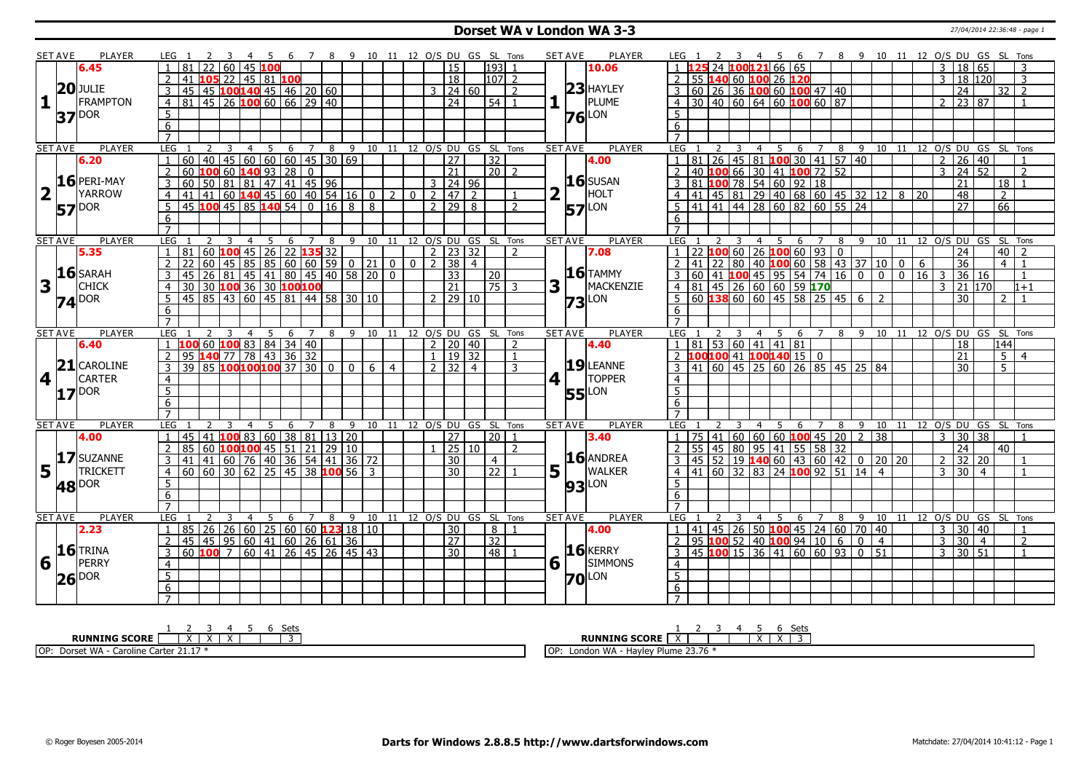### **Dorset WA v London WA 3-3** 27/04/2014 22:36:48 - page 1

|                         | <b>SET AVE</b> | <b>PLAYER</b>       | LEG 1               |                                                                                                                                                                                                          |       |                |                |                |                  |                          |    |                                         |   |                |                |                     |                | 6 7 8 9 10 11 12 O/S DU GS SL Tons   |                                    |                | <b>SET AVE</b> | PLAYER              | LEG 1                 | 2 3           |                         | - 45 |                                                           |                                                                                                                                     |  |                |                 |                                       |                | 6 7 8 9 10 11 12 O/S DU GS SL Tons     |                |                |                |
|-------------------------|----------------|---------------------|---------------------|----------------------------------------------------------------------------------------------------------------------------------------------------------------------------------------------------------|-------|----------------|----------------|----------------|------------------|--------------------------|----|-----------------------------------------|---|----------------|----------------|---------------------|----------------|--------------------------------------|------------------------------------|----------------|----------------|---------------------|-----------------------|---------------|-------------------------|------|-----------------------------------------------------------|-------------------------------------------------------------------------------------------------------------------------------------|--|----------------|-----------------|---------------------------------------|----------------|----------------------------------------|----------------|----------------|----------------|
|                         |                | 6.45                |                     | 81                                                                                                                                                                                                       |       | 60             | $145$ 100      |                |                  |                          |    |                                         |   |                |                | $\overline{15}$     |                | 193                                  |                                    |                |                | 10.06               |                       |               |                         |      | 24 100121 66 65                                           |                                                                                                                                     |  |                |                 |                                       | 3              | 18 65                                  |                |                |                |
|                         |                |                     | $\overline{2}$      | 41                                                                                                                                                                                                       |       |                |                |                | 105 22 45 81 100 |                          |    |                                         |   |                |                | $\overline{18}$     |                | $107$   2                            |                                    |                |                |                     |                       |               |                         |      |                                                           | 2 55 140 60 100 26 120                                                                                                              |  |                |                 |                                       | 3              | 18 120                                 |                |                | 3              |
|                         |                | <b>20JJULIE</b>     | 3                   | 45                                                                                                                                                                                                       |       |                |                |                |                  | 45 100140 45 46 20 60    |    |                                         |   |                |                | $3 \mid 24 \mid 60$ |                |                                      | 2                                  |                |                | $23$ HAYLEY         |                       |               |                         |      |                                                           | $3   60   26   36   100   60   100   47   40$                                                                                       |  |                |                 |                                       |                | 24                                     |                | 32             | $\overline{2}$ |
| $\mathbf{1}$            |                | <b>FRAMPTON</b>     | $\overline{4}$      | 81 45 26 100 60 66 29 40                                                                                                                                                                                 |       |                |                |                |                  |                          |    |                                         |   |                |                | $\overline{24}$     |                | $54$   1                             |                                    |                | $\mathbf{L}$   | PLUME               |                       |               |                         |      |                                                           | $4 \overline{)30 \overline{)40 \overline{)60 \overline{)64 \overline{)60 \overline{00 \overline{00 \overline{0}}} \overline{00}}}}$ |  |                |                 |                                       |                | $2 \mid 23 \mid 87$                    |                |                |                |
|                         |                |                     | $5\overline{)}$     |                                                                                                                                                                                                          |       |                |                |                |                  |                          |    |                                         |   |                |                |                     |                |                                      |                                    |                |                |                     | 5 <sup>1</sup>        |               |                         |      |                                                           |                                                                                                                                     |  |                |                 |                                       |                |                                        |                |                |                |
|                         |                | $37$ <sup>DOR</sup> | 6                   |                                                                                                                                                                                                          |       |                |                |                |                  |                          |    |                                         |   |                |                |                     |                |                                      |                                    |                |                | $76$ <sup>LON</sup> | 6                     |               |                         |      |                                                           |                                                                                                                                     |  |                |                 |                                       |                |                                        |                |                |                |
|                         |                |                     | $\overline{7}$      |                                                                                                                                                                                                          |       |                |                |                |                  |                          |    |                                         |   |                |                |                     |                |                                      |                                    |                |                |                     | $\overline{7}$        |               |                         |      |                                                           |                                                                                                                                     |  |                |                 |                                       |                |                                        |                |                |                |
|                         | <b>SET AVE</b> | <b>PLAYER</b>       | <b>LEG</b>          |                                                                                                                                                                                                          | 2     | $\overline{3}$ | $\overline{4}$ | $-5$           |                  |                          |    |                                         |   |                |                |                     |                |                                      | 6 7 8 9 10 11 12 O/S DU GS SL Tons | <b>SET AVE</b> |                | <b>PLAYER</b>       | <b>LEG</b>            | 2             | $\overline{3}$          |      |                                                           |                                                                                                                                     |  |                |                 |                                       |                | 4 5 6 7 8 9 10 11 12 O/S DU GS SL Tons |                |                |                |
|                         |                | 6.20                | $\mathbf{1}$        | 60                                                                                                                                                                                                       |       |                |                |                |                  |                          |    | 40   45   60   60   60   45   30   69   |   |                |                | $\overline{27}$     |                | $\overline{32}$                      |                                    |                |                | 4.00                |                       |               |                         |      |                                                           | 1 81 26 45 81 100 30 41 57 40                                                                                                       |  |                |                 |                                       |                | $2 \mid 26 \mid 40$                    |                |                |                |
|                         |                |                     | 2                   | 60                                                                                                                                                                                                       |       |                |                |                | 100 60 140 93 28 | $\overline{0}$           |    |                                         |   |                |                | $\overline{21}$     |                | $\sqrt{20}$                          |                                    |                |                |                     |                       |               |                         |      |                                                           | 2 40 100 66 30 41 100 72 52                                                                                                         |  |                |                 |                                       |                | $3 \mid 24 \mid 52$                    |                |                | $\overline{2}$ |
|                         |                | 16 PERI-MAY         | $\overline{3}$      | 60                                                                                                                                                                                                       | 50    |                |                |                |                  | 81 81 47 41 45 96        |    |                                         |   |                |                | $3 \mid 24 \mid 96$ |                |                                      |                                    |                |                | $16$ SUSAN          |                       |               |                         |      |                                                           | $\overline{3}$ 81 <b>100</b> 78 54 60 92 18                                                                                         |  |                |                 |                                       |                | $\overline{21}$                        |                | 18             |                |
| $\overline{\mathbf{2}}$ |                | <b>YARROW</b>       | $\overline{4}$      | 41                                                                                                                                                                                                       |       |                |                |                |                  |                          |    | $141$ 60 <b>140</b> 45 60 40 54 16 0 2  |   | 0 <sup>1</sup> |                | $2  47  2$          |                |                                      |                                    | 2              | Т.             | HOLT                |                       |               |                         |      |                                                           | 4 4 41 45 81 29 40 68 60 45 32 12 8 20                                                                                              |  |                |                 |                                       |                | 48                                     |                | 2              |                |
|                         |                |                     |                     | 45 100 45 85 140 54                                                                                                                                                                                      |       |                |                |                |                  | $\overline{0}$           | 16 | 8                                       | 8 |                |                | 2 29                | 8              |                                      | $\overline{2}$                     |                |                |                     |                       |               |                         |      |                                                           | 5 41 41 44 28 60 82 60 55 24                                                                                                        |  |                |                 |                                       |                | $\overline{27}$                        |                | 66             |                |
|                         |                | <b>57</b> DOR       | $5\phantom{.0}$     |                                                                                                                                                                                                          |       |                |                |                |                  |                          |    |                                         |   |                |                |                     |                |                                      |                                    |                |                | <b>57</b> LON       |                       |               |                         |      |                                                           |                                                                                                                                     |  |                |                 |                                       |                |                                        |                |                |                |
|                         |                |                     | 6<br>$\overline{7}$ |                                                                                                                                                                                                          |       |                |                |                |                  |                          |    |                                         |   |                |                |                     |                |                                      |                                    |                |                |                     | 6                     |               |                         |      |                                                           |                                                                                                                                     |  |                |                 |                                       |                |                                        |                |                |                |
|                         |                |                     |                     |                                                                                                                                                                                                          |       |                |                |                |                  |                          |    |                                         |   |                |                |                     |                |                                      |                                    |                |                |                     |                       |               |                         |      |                                                           |                                                                                                                                     |  |                |                 |                                       |                |                                        |                |                |                |
|                         | <b>SET AVE</b> | <b>PLAYER</b>       | LEG                 | 81                                                                                                                                                                                                       | 2     | $\overline{3}$ | $\overline{4}$ |                |                  | 60 $100$ 45 26 22 135 32 |    |                                         |   |                |                |                     |                | 5 6 7 8 9 10 11 12 O/S DU GS SL Tons | $\mathcal{P}$                      |                | <b>SET AVE</b> | <b>PLAYER</b>       | LEG<br>$\overline{1}$ |               | $\overline{\mathbf{3}}$ |      |                                                           |                                                                                                                                     |  |                |                 |                                       |                | 4 5 6 7 8 9 10 11 12 O/S DU GS SL Tons |                |                |                |
|                         |                | 5.35                |                     | 22                                                                                                                                                                                                       | 60    | 45             |                |                |                  |                          |    |                                         |   | $\overline{0}$ | $\overline{2}$ | $2$   23   32       | $\overline{4}$ |                                      |                                    |                |                | 7.08                |                       |               |                         |      |                                                           | $22$ <b>100</b> 60 26 <b>100</b> 60 93 0<br>$\frac{141}{22}$ 80 40 <b>100</b> 60 58 43 37 10 0                                      |  |                |                 |                                       |                | $\overline{24}$                        |                | 40             |                |
|                         |                | $16$ SARAH          | $\overline{2}$      |                                                                                                                                                                                                          |       |                |                |                |                  |                          |    | 85866060590210                          |   |                |                | 38                  |                |                                      |                                    |                |                | $16$ TAMMY          |                       |               |                         |      |                                                           |                                                                                                                                     |  |                |                 | l 6                                   |                | 36                                     |                | $\overline{4}$ | $\overline{1}$ |
|                         |                | <b>CHICK</b>        | $\overline{3}$      | 45                                                                                                                                                                                                       | 26 81 |                |                |                |                  |                          |    | 45 41 80 45 40 58 20 0                  |   |                |                | $\overline{33}$     |                | $\overline{20}$                      |                                    |                |                | MACKENZIE           |                       |               |                         |      |                                                           |                                                                                                                                     |  |                |                 | 3 60 41 100 45 95 54 74 16 0 0 0 16 3 |                | 36 16                                  |                |                | $\overline{1}$ |
| 3                       |                |                     | $\overline{4}$      | $\frac{130}{30}$ $\frac{30}{30}$ $\frac{100}{36}$ $\frac{36}{30}$ $\frac{100}{45}$ $\frac{100}{60}$ $\frac{100}{45}$ $\frac{100}{81}$ $\frac{100}{44}$ $\frac{100}{58}$ $\frac{100}{30}$ $\frac{10}{10}$ |       |                |                |                |                  |                          |    |                                         |   |                |                | $\overline{21}$     |                | $\overline{75}$ 3                    |                                    | 3              |                |                     |                       |               |                         |      |                                                           | $\frac{1}{4}$ 81 45 26 60 60 59 170                                                                                                 |  |                |                 |                                       | 3              |                                        | 21 170         |                | $1+1$          |
|                         |                | <b>74</b> DOR       | $5^{\circ}$         |                                                                                                                                                                                                          |       |                |                |                |                  |                          |    |                                         |   |                |                | 2 29 10             |                |                                      |                                    |                |                | $73$ <sup>LON</sup> |                       |               |                         |      |                                                           | $5 60 $ 138 60 60 45 58 25 45 6 2                                                                                                   |  |                |                 |                                       |                | 30                                     |                | $\mathcal{P}$  | $\mathbf{1}$   |
|                         |                |                     | 6                   |                                                                                                                                                                                                          |       |                |                |                |                  |                          |    |                                         |   |                |                |                     |                |                                      |                                    |                |                |                     | 6                     |               |                         |      |                                                           |                                                                                                                                     |  |                |                 |                                       |                |                                        |                |                |                |
|                         |                |                     | $\overline{7}$      |                                                                                                                                                                                                          |       |                |                |                |                  |                          |    |                                         |   |                |                |                     |                |                                      |                                    |                |                |                     | $\overline{7}$        |               |                         |      |                                                           |                                                                                                                                     |  |                |                 |                                       |                |                                        |                |                |                |
|                         | <b>SET AVE</b> | <b>PLAYER</b>       | LEG                 |                                                                                                                                                                                                          |       | 3              | $\overline{4}$ | 5 <sup>5</sup> | 6                |                          |    |                                         |   |                |                |                     |                | 7 8 9 10 11 12 0/S DU GS SL Tons     |                                    |                | <b>SET AVE</b> | <b>PLAYER</b>       | LEG <sub>1</sub>      |               | $\overline{3}$          |      |                                                           |                                                                                                                                     |  |                |                 |                                       |                | 4 5 6 7 8 9 10 11 12 O/S DU GS SL Tons |                |                |                |
|                         |                | 6.40                | $\overline{1}$      | 100                                                                                                                                                                                                      |       |                |                |                |                  | $60$ 100 83 84 34 40     |    |                                         |   |                |                | $2 \mid 20 \mid 40$ |                |                                      | $\overline{z}$                     |                |                | 4.40                |                       |               |                         |      | $1 \vert 81 \vert 53 \vert 60 \vert 41 \vert 41 \vert 81$ |                                                                                                                                     |  |                |                 |                                       |                | 18                                     |                | 144            |                |
|                         |                | $21$ CAROLINE       | $\overline{2}$      | 95                                                                                                                                                                                                       |       |                |                |                |                  | 140 77 78 43 36 32       |    |                                         |   |                |                | $1 \mid 19 \mid 32$ |                |                                      | $\overline{1}$                     |                |                | 19 LEANNE           |                       |               |                         |      |                                                           | 2 100100 41 100140 15 0                                                                                                             |  |                |                 |                                       |                | 21                                     |                | 5              | $\overline{a}$ |
|                         |                |                     | 3                   | $\frac{1}{39}$ 85 100 100 100 37 30                                                                                                                                                                      |       |                |                |                |                  |                          |    | $0 0 0 6 4$                             |   |                |                | 7 32 4              |                |                                      | 3                                  |                |                |                     |                       |               |                         |      |                                                           | 3 41 60 45 25 60 26 85 45 25 84                                                                                                     |  |                |                 |                                       |                | 30                                     |                | $\overline{5}$ |                |
| 4                       |                | <b>CARTER</b>       | $\overline{4}$      |                                                                                                                                                                                                          |       |                |                |                |                  |                          |    |                                         |   |                |                |                     |                |                                      |                                    | 4              |                | <b>TOPPER</b>       | $\frac{4}{5}$         |               |                         |      |                                                           |                                                                                                                                     |  |                |                 |                                       |                |                                        |                |                |                |
|                         |                | $17$ <sup>DOR</sup> | $\overline{5}$      |                                                                                                                                                                                                          |       |                |                |                |                  |                          |    |                                         |   |                |                |                     |                |                                      |                                    |                |                | <b>55</b> LON       |                       |               |                         |      |                                                           |                                                                                                                                     |  |                |                 |                                       |                |                                        |                |                |                |
|                         |                |                     | 6                   |                                                                                                                                                                                                          |       |                |                |                |                  |                          |    |                                         |   |                |                |                     |                |                                      |                                    |                |                |                     | 6                     |               |                         |      |                                                           |                                                                                                                                     |  |                |                 |                                       |                |                                        |                |                |                |
|                         |                |                     | $\overline{7}$      |                                                                                                                                                                                                          |       |                |                |                |                  |                          |    |                                         |   |                |                |                     |                |                                      |                                    |                |                |                     |                       |               |                         |      |                                                           |                                                                                                                                     |  |                |                 |                                       |                |                                        |                |                |                |
|                         | <b>SET AVE</b> | <b>PLAYER</b>       | LEG                 |                                                                                                                                                                                                          |       |                | $\overline{4}$ | -5             | 6                | $\overline{7}$           |    |                                         |   |                |                |                     |                | 8 9 10 11 12 0/S DU GS SL Tons       |                                    |                | <b>SET AVE</b> | <b>PLAYER</b>       | LEG                   |               |                         |      | 4 <sub>5</sub>                                            |                                                                                                                                     |  |                |                 |                                       |                | 6 7 8 9 10 11 12 O/S DU GS SL Tons     |                |                |                |
|                         |                | 4.00                |                     | 45   41                                                                                                                                                                                                  |       |                |                |                |                  | 10083 60 38 81           |    | 13   20                                 |   |                |                | 27                  |                | 20 <sup>1</sup>                      | $\overline{1}$                     |                |                | 3.40                |                       |               |                         |      |                                                           | $1 \mid 75 \mid 41 \mid 60 \mid 60 \mid 60$ <b>100</b> 45 20 2                                                                      |  |                | $\overline{38}$ |                                       | $\overline{3}$ | 30 38                                  |                |                |                |
|                         |                |                     | $\overline{2}$      | 85                                                                                                                                                                                                       |       |                |                |                |                  |                          |    | 60   100   100   45   51   21   29   10 |   |                |                |                     | 25 10          |                                      | 2                                  |                |                |                     |                       |               |                         |      |                                                           | 2   55   45   80   95   41   55   58   32                                                                                           |  |                |                 |                                       |                | $\overline{24}$                        |                | 40             |                |
|                         |                | 17 SUZANNE          | 3                   | 41                                                                                                                                                                                                       |       |                |                |                |                  |                          |    | 41 60 76 40 36 54 41 36 72              |   |                |                | 30                  |                | $\overline{4}$                       |                                    |                |                | $16$ ANDREA         |                       |               |                         |      |                                                           | $3   45   52   19   140   60   43   60   42   0   20   20$                                                                          |  |                |                 |                                       | $\overline{2}$ | 32 20                                  |                |                |                |
| 5                       |                | <b>TRICKETT</b>     | $\overline{4}$      | 60 60 30 62 25 45 38 100 56 3                                                                                                                                                                            |       |                |                |                |                  |                          |    |                                         |   |                |                | $\overline{30}$     |                | 22                                   | $\overline{1}$                     | 5              |                | <b>WALKER</b>       |                       |               |                         |      |                                                           | 4 4 41 60 32 83 24 100 92 51 14 4                                                                                                   |  |                |                 |                                       |                | $3 \mid 30 \mid 4$                     |                |                |                |
|                         |                | <b>48</b> DOR       | 5                   |                                                                                                                                                                                                          |       |                |                |                |                  |                          |    |                                         |   |                |                |                     |                |                                      |                                    |                |                | <b>93</b> LON       | 5 <sup>1</sup>        |               |                         |      |                                                           |                                                                                                                                     |  |                |                 |                                       |                |                                        |                |                |                |
|                         |                |                     | $6\overline{6}$     |                                                                                                                                                                                                          |       |                |                |                |                  |                          |    |                                         |   |                |                |                     |                |                                      |                                    |                |                |                     | 6                     |               |                         |      |                                                           |                                                                                                                                     |  |                |                 |                                       |                |                                        |                |                |                |
|                         |                |                     | $\overline{7}$      |                                                                                                                                                                                                          |       |                |                |                |                  |                          |    |                                         |   |                |                |                     |                |                                      |                                    |                |                |                     | $\overline{7}$        |               |                         |      |                                                           |                                                                                                                                     |  |                |                 |                                       |                |                                        |                |                |                |
|                         | <b>SET AVE</b> | PLAYER              | LEG                 |                                                                                                                                                                                                          | 2     | 3              | $\overline{4}$ | 5              |                  | 6 7                      |    |                                         |   |                |                |                     |                | 8 9 10 11 12 0/S DU GS SL Tons       |                                    | <b>SET AVE</b> |                | <b>PLAYER</b>       | LEG                   | $\mathcal{L}$ | 3                       |      | 4 5                                                       | - 6                                                                                                                                 |  |                |                 |                                       |                | 7 8 9 10 11 12 0/S DU GS SL Tons       |                |                |                |
|                         |                | 2.23                | $\mathbf{1}$        | 85                                                                                                                                                                                                       |       |                |                |                |                  |                          |    | 26 26 60 25 60 60 123 18 10             |   |                |                | $\overline{30}$     |                | 8 I                                  | $\overline{1}$                     |                |                | 4.00                |                       |               |                         |      |                                                           | $1   41   45   26   50   100   45   24   60   70   40$                                                                              |  |                |                 |                                       | $\overline{3}$ | 30 40                                  |                |                | $\mathbf{1}$   |
|                         |                |                     | 2                   | 45                                                                                                                                                                                                       |       |                |                |                |                  |                          |    | 45   95   60   41   60   26   61   36   |   |                |                | $\overline{27}$     |                | $\overline{32}$                      |                                    |                |                |                     |                       |               |                         |      |                                                           | $2$   95 <b>100</b> 52   40 <b>100</b> 94   10   6                                                                                  |  | $\overline{0}$ | $\vert 4 \vert$ |                                       | $\overline{3}$ | 30                                     | $\overline{4}$ |                | 2              |
|                         |                | $16$ TRINA          | 3                   |                                                                                                                                                                                                          |       |                |                |                |                  |                          |    |                                         |   |                |                | $\overline{30}$     |                | 48                                   |                                    |                |                | $16$ <b>KERRY</b>   |                       |               |                         |      |                                                           | $3   45   100   15   36   41   60   60   93   0   51$                                                                               |  |                |                 |                                       | $\mathbf{3}$   | $30 \mid 51$                           |                |                | $\overline{1}$ |
|                         | $6\vert$       | PERRY               | $\overline{4}$      |                                                                                                                                                                                                          |       |                |                |                |                  |                          |    |                                         |   |                |                |                     |                |                                      |                                    |                | $6\sqrt{ }$    | SIMMONS             | $\overline{4}$        |               |                         |      |                                                           |                                                                                                                                     |  |                |                 |                                       |                |                                        |                |                |                |
|                         |                | $26$ $\text{pos}$   | $\overline{5}$      |                                                                                                                                                                                                          |       |                |                |                |                  |                          |    |                                         |   |                |                |                     |                |                                      |                                    |                |                | <b>70</b> LON       | $\overline{5}$        |               |                         |      |                                                           |                                                                                                                                     |  |                |                 |                                       |                |                                        |                |                |                |
|                         |                |                     | $6\overline{}$      |                                                                                                                                                                                                          |       |                |                |                |                  |                          |    |                                         |   |                |                |                     |                |                                      |                                    |                |                |                     | 6                     |               |                         |      |                                                           |                                                                                                                                     |  |                |                 |                                       |                |                                        |                |                |                |
|                         |                |                     |                     |                                                                                                                                                                                                          |       |                |                |                |                  |                          |    |                                         |   |                |                |                     |                |                                      |                                    |                |                |                     |                       |               |                         |      |                                                           |                                                                                                                                     |  |                |                 |                                       |                |                                        |                |                |                |
|                         |                |                     |                     |                                                                                                                                                                                                          |       |                |                |                |                  |                          |    |                                         |   |                |                |                     |                |                                      |                                    |                |                |                     |                       |               |                         |      |                                                           |                                                                                                                                     |  |                |                 |                                       |                |                                        |                |                |                |

| Set:                                                                     | Sets                                                                             |
|--------------------------------------------------------------------------|----------------------------------------------------------------------------------|
| <b>RUNNING SCORE</b><br>$\sqrt{ }$                                       | <b>SCORE</b><br><b>RUNNING</b><br>. .<br>$\lambda$                               |
| OP:<br>$-24.47$<br>$+ WA$ .<br>Carter<br>Dorso<br>iroline<br><b>44.4</b> | <i>A</i> lume 23.76 *<br>∟ondon WA<br><sub>I</sub> OP<br>مەددا سەلسا<br>. iavie' |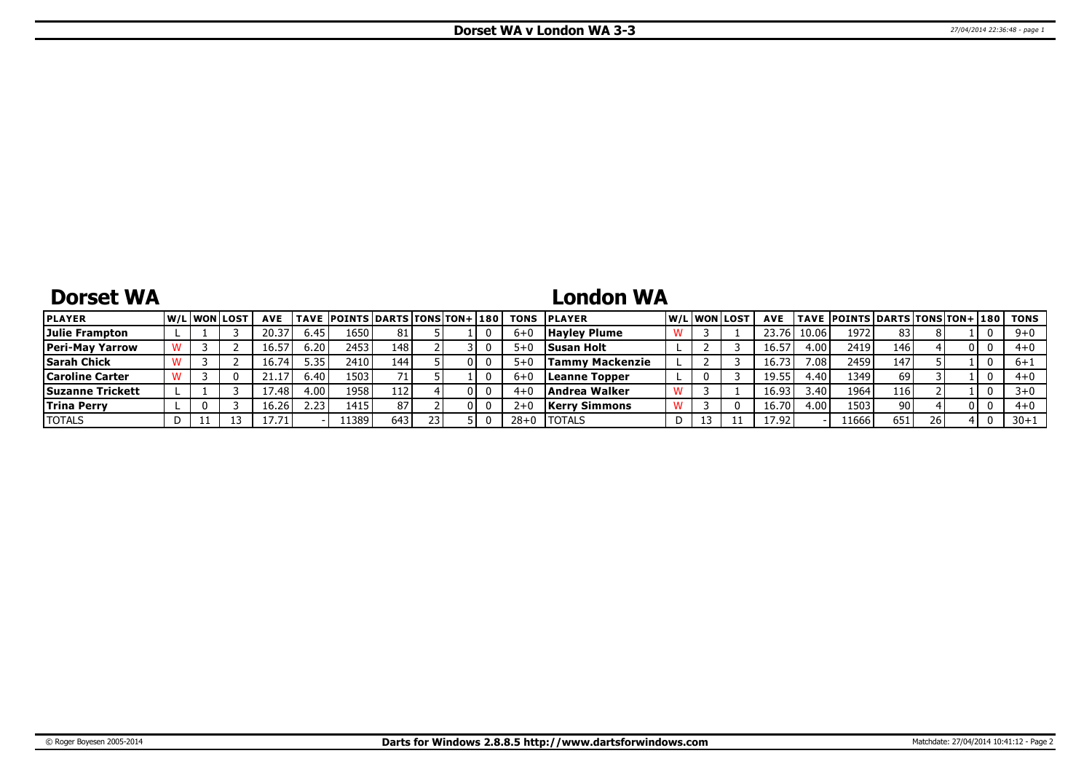# **Dorset WA**

# **London WA**

| <b>PLAYER</b>           |  | <b>W/Liwonilost</b> | <b>AVE</b> |      | <b>TAVE POINTS DARTS TONS TON+ 180</b> |     |  |          | <b>TONS PLAYER</b>   | W/L WON LOST | <b>AVE</b> |                | TAVE  POINTS   DARTS   TONS   TON+   180 |     |    |  | TONS     |
|-------------------------|--|---------------------|------------|------|----------------------------------------|-----|--|----------|----------------------|--------------|------------|----------------|------------------------------------------|-----|----|--|----------|
| Julie Frampton          |  |                     | 20.37      | 6.45 | 1650                                   | 81  |  | $6 + C$  | <b>Hayley Plume</b>  |              | 23.76      | 10.06          | 1972                                     | 83  |    |  | $9 + 0$  |
| <b>Peri-May Yarrow</b>  |  |                     | 16.57      | 6.20 | 2453                                   | 148 |  | 5+0      | <b>Susan Holt</b>    |              | 16.57      | 4.00           | 2419                                     | 146 |    |  | $4+0$    |
| <b>Sarah Chick</b>      |  |                     | 16.74      | 5.35 | 2410 l                                 | 144 |  | $5 + C$  | Tammv Mackenzie      |              | 16.7       | $^{\prime}.08$ | 2459                                     | 147 |    |  | 6+1      |
| <b>Caroline Carter</b>  |  |                     |            | 6.40 | 1503                                   |     |  | $6+1$    | Leanne Topper        |              | 19.55      | 4.40           | 1349                                     | 69  |    |  | 4+0      |
| <b>Suzanne Trickett</b> |  |                     | 17.48      | 4.00 | 1958                                   | 112 |  | 4+0      | <b>Andrea Walker</b> |              | 16.93      | 3.40           | 1964                                     | 116 |    |  | $3+0$    |
| <b>Trina Perry</b>      |  |                     | 16.26'     | 2.23 | 1415                                   | 87  |  | $2+0$    | <b>Kerry Simmons</b> |              | 16.70      | 4.00           | 1503                                     | 90  |    |  | 4+0      |
| <b>TOTALS</b>           |  |                     | 17.71      |      | 1389                                   | 643 |  | $28 + 0$ | <b>ITOTALS</b>       |              | 17.92      |                | 11666                                    | 651 | 26 |  | $30 + 1$ |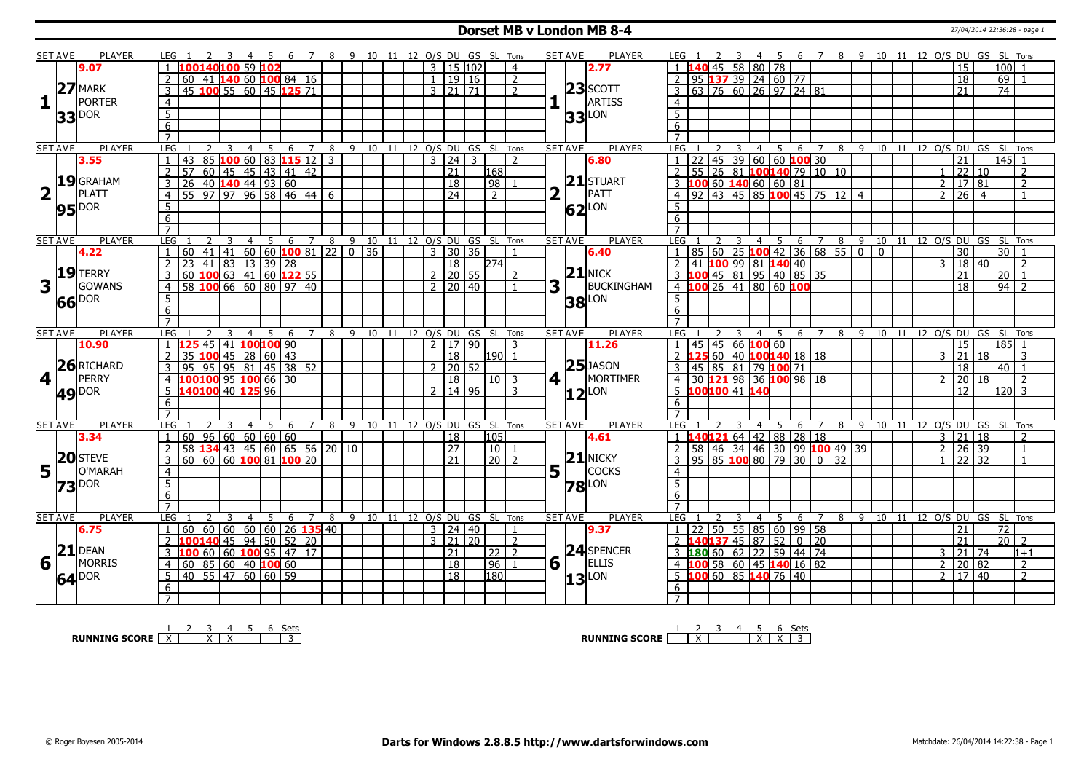#### **Dorset MB v London MB 8-4** 27/04/2014 22:36:28 - page 1

|                         | <b>SET AVE</b>  | <b>PLAYER</b>       | LEG 1                                    |                                                                              |                   | - 5 |       |   |   | 6 7 8 9 10 11 12 O/S DU GS SL Tons               |                            |                |                     |                 |                      |                | <b>SET AVE</b>       | <b>PLAYER</b>       | LEG 1                                                         |   |                |                                     |                     |   |     |          |    |                |                |                     |         | 4 5 6 7 8 9 10 11 12 O/S DU GS SL Tons                  |  |
|-------------------------|-----------------|---------------------|------------------------------------------|------------------------------------------------------------------------------|-------------------|-----|-------|---|---|--------------------------------------------------|----------------------------|----------------|---------------------|-----------------|----------------------|----------------|----------------------|---------------------|---------------------------------------------------------------|---|----------------|-------------------------------------|---------------------|---|-----|----------|----|----------------|----------------|---------------------|---------|---------------------------------------------------------|--|
|                         |                 | 9.07                |                                          |                                                                              | l 59 l <b>102</b> |     |       |   |   |                                                  |                            |                | 3 15 102            |                 |                      | $\overline{4}$ |                      | 2.77                |                                                               |   | 45 58 80 78    |                                     |                     |   |     |          |    |                |                | 15                  |         | 100                                                     |  |
|                         |                 |                     | 60                                       | $ 41 $ 140 60 100 84 16                                                      |                   |     |       |   |   |                                                  |                            | $\mathbf{1}$   |                     | 19 16           |                      | $\overline{2}$ |                      |                     | 95 137 39 24 60 77                                            |   |                |                                     |                     |   |     |          |    |                |                | 18                  |         | 69                                                      |  |
|                         |                 | $27$ MARK           | 45 100 55 60 45 125 71                   |                                                                              |                   |     |       |   |   |                                                  |                            |                | $3 \mid 21 \mid 71$ |                 |                      | $\overline{z}$ |                      | $23$ SCOTT          | $63 \mid 76 \mid 60 \mid 26 \mid 97 \mid 24 \mid 81$          |   |                |                                     |                     |   |     |          |    |                |                | 21                  |         | 74                                                      |  |
| $\mathbf{1}$            |                 | PORTER              | $\overline{4}$                           |                                                                              |                   |     |       |   |   |                                                  |                            |                |                     |                 |                      |                |                      | ARTISS              | $\overline{4}$                                                |   |                |                                     |                     |   |     |          |    |                |                |                     |         |                                                         |  |
|                         |                 |                     | 5                                        |                                                                              |                   |     |       |   |   |                                                  |                            |                |                     |                 |                      |                |                      |                     | $\overline{5}$                                                |   |                |                                     |                     |   |     |          |    |                |                |                     |         |                                                         |  |
|                         |                 | 33 DOR              | $\overline{6}$                           |                                                                              |                   |     |       |   |   |                                                  |                            |                |                     |                 |                      |                |                      | $33$ $\mu$ on       | $\overline{6}$                                                |   |                |                                     |                     |   |     |          |    |                |                |                     |         |                                                         |  |
|                         |                 |                     | $\overline{7}$                           |                                                                              |                   |     |       |   |   |                                                  |                            |                |                     |                 |                      |                |                      |                     | $\overline{7}$                                                |   |                |                                     |                     |   |     |          |    |                |                |                     |         |                                                         |  |
|                         | <b>SET AVE</b>  | <b>PLAYER</b>       | <b>LEG</b>                               | 2<br>3                                                                       | $\overline{4}$    | 5   | -6    | 7 | 8 | 9 10 11 12 O/S DU GS SL Tons                     |                            |                |                     |                 |                      |                | <b>SET AVE</b>       | <b>PLAYER</b>       | <b>LEG</b><br>2                                               | 3 |                | 4 <sub>5</sub>                      | 6 7                 |   |     |          |    |                |                |                     |         | 8 9 10 11 12 O/S DU GS SL Tons                          |  |
|                         |                 | 3.55                | 85<br>$\mathbf{1}$<br>43                 |                                                                              | 1006083115123     |     |       |   |   |                                                  |                            |                | 3 24                | $\mathcal{R}$   |                      | $\mathcal{L}$  |                      | 6.80                | $\overline{22}$                                               |   |                | $45 \mid 39 \mid 60 \mid 60$ 100 30 |                     |   |     |          |    |                |                | 21                  |         | $145$ 1                                                 |  |
|                         |                 |                     | $\mathcal{P}$<br>57                      | 60 45 45 43 41 42                                                            |                   |     |       |   |   |                                                  |                            |                | $\overline{21}$     |                 | 168                  |                |                      |                     | 55 26 81 100140 79 10 10<br>$\overline{z}$                    |   |                |                                     |                     |   |     |          |    |                | $\mathbf{1}$   | $122$ 10            |         | $\overline{2}$                                          |  |
|                         |                 | 19 GRAHAM           | $\mathbf{3}$<br>$\overline{26}$          | $\begin{array}{ c c c c c c }\n\hline\n40 & 140 & 44 & 93 & 60\n\end{array}$ |                   |     |       |   |   |                                                  |                            |                | $\overline{18}$     |                 | 98                   |                |                      | $21$ STUART         | 10060140606081<br>3                                           |   |                |                                     |                     |   |     |          |    |                | 2              | $\sqrt{17/81}$      |         | $\overline{2}$                                          |  |
| $\overline{\mathbf{2}}$ | $1\pm$          | PLATT               | 55 97 97 96 58 46 44<br>$\overline{4}$   |                                                                              |                   |     |       |   | 6 |                                                  |                            |                | $\overline{24}$     |                 | $\overline{2}$       |                | $\overline{2}$       | PATT                | $92$ 43 45 85 100 45 75 12 4                                  |   |                |                                     |                     |   |     |          |    |                | $\overline{2}$ | $\sqrt{26}$ 4       |         |                                                         |  |
|                         |                 |                     |                                          |                                                                              |                   |     |       |   |   |                                                  |                            |                |                     |                 |                      |                |                      |                     | 5                                                             |   |                |                                     |                     |   |     |          |    |                |                |                     |         |                                                         |  |
|                         |                 | <b>95</b> DOR       | $\overline{5}$                           |                                                                              |                   |     |       |   |   |                                                  |                            |                |                     |                 |                      |                |                      | $62$ <sup>LON</sup> |                                                               |   |                |                                     |                     |   |     |          |    |                |                |                     |         |                                                         |  |
|                         |                 |                     | 6<br>$\overline{7}$                      |                                                                              |                   |     |       |   |   |                                                  |                            |                |                     |                 |                      |                |                      |                     | 6                                                             |   |                |                                     |                     |   |     |          |    |                |                |                     |         |                                                         |  |
|                         |                 |                     |                                          |                                                                              |                   |     |       |   |   |                                                  |                            |                |                     |                 |                      |                |                      | PLAYER              |                                                               |   | $\overline{4}$ |                                     |                     |   |     |          |    |                |                |                     |         |                                                         |  |
|                         | <b>SET AVE</b>  | <b>PLAYER</b>       | LEG<br>60<br>41                          | 3                                                                            | $\overline{4}$    | 5   | 6     | 7 | 8 | $-9$<br>$\boxed{41}$ 60 60 <b>100</b> 81 22 0 36 | 10 11 12 0/S DU GS SL Tons | $\overline{3}$ | $\overline{30}$     | $\overline{36}$ |                      |                | <b>SET AVE</b>       | 6.40                | <b>LEG</b><br>85                                              |   |                | 60 25 100 42 36 68 55 0             |                     |   |     | $\Omega$ |    |                |                | $\overline{30}$     |         | 5 6 7 8 9 10 11 12 O/S DU GS SL Tons<br>$\overline{30}$ |  |
|                         |                 | 4.22                | $\overline{23}$<br>41                    |                                                                              |                   |     |       |   |   |                                                  |                            |                | $\overline{18}$     |                 |                      |                |                      |                     | 41 100 99 81 140 40                                           |   |                |                                     |                     |   |     |          |    |                | 3              |                     |         | $\overline{2}$                                          |  |
|                         |                 | $19$ TERRY          | $\overline{2}$                           |                                                                              | $83$ 13 39 28     |     |       |   |   |                                                  |                            |                |                     |                 | 274                  |                |                      | $21$ NICK           | $\overline{2}$                                                |   |                |                                     |                     |   |     |          |    |                |                |                     | 18 40   |                                                         |  |
|                         |                 | GOWANS              | 60 100 63 41 60 122 55<br>$\overline{3}$ | 10066660809740                                                               |                   |     |       |   |   |                                                  |                            | 2 <sub>1</sub> | $2 \mid 20 \mid 55$ |                 |                      | $\overline{2}$ |                      | BUCKINGHAM          | 3 100 45 81 95 40 85 35<br>4 100 26 41 80 60 100              |   |                |                                     |                     |   |     |          |    |                |                | 21                  |         | $20$ 1                                                  |  |
| 3                       |                 |                     | 58<br>$\overline{4}$                     |                                                                              |                   |     |       |   |   |                                                  |                            |                |                     | 20 40           |                      |                | 3                    |                     |                                                               |   |                |                                     |                     |   |     |          |    |                |                | $\overline{18}$     |         | $94$   2                                                |  |
|                         |                 | 66 DOR              | $\overline{5}$                           |                                                                              |                   |     |       |   |   |                                                  |                            |                |                     |                 |                      |                |                      | <b>38</b> LON       | $\overline{5}$                                                |   |                |                                     |                     |   |     |          |    |                |                |                     |         |                                                         |  |
|                         |                 |                     | 6                                        |                                                                              |                   |     |       |   |   |                                                  |                            |                |                     |                 |                      |                |                      |                     | 6                                                             |   |                |                                     |                     |   |     |          |    |                |                |                     |         |                                                         |  |
|                         |                 | <b>PLAYER</b>       | $\overline{7}$                           |                                                                              |                   |     |       |   |   |                                                  | 10 11                      |                |                     |                 |                      |                |                      |                     |                                                               |   |                |                                     |                     |   |     | 10 11    |    |                |                |                     |         |                                                         |  |
| <b>SET AVE</b>          |                 |                     |                                          |                                                                              | 4                 | -5  | 6     |   |   |                                                  |                            |                |                     |                 | 12 O/S DU GS SL Tons |                | <b>SET AVE</b>       | <b>PLAYER</b>       | LEG                                                           |   |                | 4 <sub>5</sub>                      | 6 7                 |   | 89  |          |    |                |                |                     |         | 12 O/S DU GS SL Tons                                    |  |
|                         |                 |                     | LEG                                      |                                                                              |                   |     |       |   | 8 | 9                                                |                            |                |                     |                 |                      |                |                      |                     |                                                               |   |                |                                     |                     |   |     |          |    |                |                |                     |         |                                                         |  |
|                         |                 | 10.90               |                                          | 45 41 100 100 90                                                             |                   |     |       |   |   |                                                  |                            |                | 2   17   90         |                 |                      | 3              |                      | 11.26               | $45 \mid 45 \mid 66 \mid 100 \mid 60$                         |   |                |                                     |                     |   |     |          |    |                |                | 15                  |         | 185                                                     |  |
|                         |                 |                     | $\overline{2}$<br>35                     | 100 45 28 60 43                                                              |                   |     |       |   |   |                                                  |                            |                | 18                  |                 | 190  1               |                |                      |                     | <u>  25 60   40   100 140 18   18</u>                         |   |                |                                     |                     |   |     |          |    |                |                | 21                  | l 18    | 3                                                       |  |
|                         |                 | 26 RICHARD          | 95<br>95<br>3                            |                                                                              | 95 81 45 38 52    |     |       |   |   |                                                  |                            |                |                     | 20 52           |                      |                |                      | $25$ JASON          | 45 85 81 79 100 71<br>3                                       |   |                |                                     |                     |   |     |          |    |                |                | 18                  |         | $40 \mid 1$                                             |  |
| $4$                     |                 | PERRY               | 100100 95 100 66 30<br>$\overline{4}$    |                                                                              |                   |     |       |   |   |                                                  |                            |                | 18                  |                 | $10\vert$ 3          |                | $4$   $\overline{ }$ | MORTIMER            | 30 121 98 36 100 98 18<br>4 <sup>1</sup>                      |   |                |                                     |                     |   |     |          |    |                | $\mathcal{D}$  | 20 18               |         | $\overline{2}$                                          |  |
|                         |                 |                     | 140100 40 125 96<br>5 <sup>2</sup>       |                                                                              |                   |     |       |   |   |                                                  |                            |                | 2   14   96         |                 |                      | 3              |                      | $12$ <sup>LON</sup> | $\overline{5}$ 100100 41 140                                  |   |                |                                     |                     |   |     |          |    |                |                | 12                  |         | $ 120 $ 3                                               |  |
|                         |                 | 49 <sup>DOR</sup>   | 6                                        |                                                                              |                   |     |       |   |   |                                                  |                            |                |                     |                 |                      |                |                      |                     | 6                                                             |   |                |                                     |                     |   |     |          |    |                |                |                     |         |                                                         |  |
|                         |                 |                     | $\overline{7}$                           |                                                                              |                   |     |       |   |   |                                                  |                            |                |                     |                 |                      |                |                      |                     | $\overline{7}$                                                |   |                |                                     |                     |   |     |          |    |                |                |                     |         |                                                         |  |
|                         | <b>SET AVE</b>  | <b>PLAYER</b>       | LEG                                      |                                                                              |                   |     |       |   | 8 | 9                                                | 10 11 12 O/S DU GS SL Tons |                |                     |                 |                      |                | <b>SET AVE</b>       | <b>PLAYER</b>       | <b>LEG</b>                                                    |   |                |                                     | 6<br>$\overline{7}$ | 8 | - 9 | 10 11    |    | $12$ O/S DU GS |                |                     |         | SL Tons                                                 |  |
|                         |                 | 3.34                | 60<br>$\mathbf{1}$                       | 96   60   60   60   60                                                       |                   |     |       |   |   |                                                  |                            |                | $\overline{18}$     |                 | 105                  |                |                      | 4.61                | l40 <mark>121</mark> 64   42   88   28   18<br>$1 \;$ $\sf 1$ |   |                |                                     |                     |   |     |          |    |                | $\overline{3}$ | 21 18               |         | 2                                                       |  |
|                         |                 |                     | $\overline{2}$<br>58                     | <b>134</b> 43 45 60 65 56 20 10                                              |                   |     |       |   |   |                                                  |                            |                | 27                  |                 | 10                   |                |                      |                     | 58 46 34 46 30 99 100 49 39<br>2                              |   |                |                                     |                     |   |     |          |    |                |                | $2 \mid 26 \mid 39$ |         | $\overline{1}$                                          |  |
|                         |                 | 20 STEVE            | $60   60   60$ 100 81 100 20<br>3        |                                                                              |                   |     |       |   |   |                                                  |                            |                | $\overline{21}$     |                 | $\overline{20}$      | $\overline{2}$ |                      | $21$ NICKY          | $95 85 $ <b>100</b> 80   79   30   0   32                     |   |                |                                     |                     |   |     |          |    |                |                | 22 32               |         |                                                         |  |
|                         | $5\overline{1}$ | O'MARAH             | 4                                        |                                                                              |                   |     |       |   |   |                                                  |                            |                |                     |                 |                      |                | 5                    | <b>COCKS</b>        | $\overline{4}$                                                |   |                |                                     |                     |   |     |          |    |                |                |                     |         |                                                         |  |
|                         |                 | $73$ $\text{pos}$   | $\overline{5}$                           |                                                                              |                   |     |       |   |   |                                                  |                            |                |                     |                 |                      |                |                      |                     | $\overline{5}$                                                |   |                |                                     |                     |   |     |          |    |                |                |                     |         |                                                         |  |
|                         |                 |                     | 6                                        |                                                                              |                   |     |       |   |   |                                                  |                            |                |                     |                 |                      |                |                      | <b>78</b> LON       | 6                                                             |   |                |                                     |                     |   |     |          |    |                |                |                     |         |                                                         |  |
|                         |                 |                     |                                          |                                                                              |                   |     |       |   |   |                                                  |                            |                |                     |                 |                      |                |                      |                     |                                                               |   |                |                                     |                     |   |     |          |    |                |                |                     |         |                                                         |  |
|                         | <b>SET AVE</b>  | <b>PLAYER</b>       | <b>LEG</b>                               | 3                                                                            | $\overline{4}$    | 5   | 6     | 7 | 8 | 9 10                                             | 11                         |                |                     |                 | 12 O/S DU GS SL Tons |                | <b>SET AVE</b>       | <b>PLAYER</b>       | <b>LEG</b>                                                    |   | $\overline{4}$ | -5                                  | 6<br>$\overline{7}$ | 8 |     | 9 10     | 11 |                |                |                     |         | 12 O/S DU GS SL Tons                                    |  |
|                         |                 | 6.75                | 60<br>$\mathbf{1}$                       | 60   60   60   60   26 <b>135</b>   40                                       |                   |     |       |   |   |                                                  |                            |                | 3   24   40         |                 |                      | $\overline{1}$ |                      | 9.37                | 22<br>$\mathbf{1}$                                            |   |                | $50 5\overline{5} 85 60 99 58$      |                     |   |     |          |    |                |                | 21                  |         | $\overline{72}$                                         |  |
|                         |                 |                     | $\overline{2}$<br>100                    | 140 45   94   50                                                             |                   |     | 52 20 |   |   |                                                  |                            |                | 3 21 20             |                 |                      | $\overline{2}$ |                      |                     | 2 <b>140137</b> 45 87 52 0 20                                 |   |                |                                     |                     |   |     |          |    |                |                | 21                  |         | $20$   2                                                |  |
|                         |                 | $21$ DEAN           | 3<br>100                                 | 60 60 <b>100</b> 95 47 17                                                    |                   |     |       |   |   |                                                  |                            |                | 21                  |                 | $22\overline{2}$     |                |                      | 24 SPENCER          | 3 180 60 62 22 59 44 74                                       |   |                |                                     |                     |   |     |          |    |                | $\overline{3}$ |                     | 21   74 | $1 + 1$                                                 |  |
| 6                       |                 | <b>MORRIS</b>       | $\overline{4}$<br>60                     | 85 60 40 100 60                                                              |                   |     |       |   |   |                                                  |                            |                | $\overline{18}$     |                 | $96$   1             |                | 6                    | <b>ELLIS</b>        | $100$ 58 60 45 140 16 82<br>$\overline{4}$                    |   |                |                                     |                     |   |     |          |    |                | $\overline{2}$ | 20 82               |         | <sup>2</sup>                                            |  |
|                         |                 |                     | 40   55   47   60   60   59<br>5         |                                                                              |                   |     |       |   |   |                                                  |                            |                | 18                  |                 | 180                  |                |                      |                     | LOO 60 85 140 76 40<br>5                                      |   |                |                                     |                     |   |     |          |    |                |                | 2 17 40             |         | $\overline{2}$                                          |  |
|                         |                 | $64$ <sup>DOR</sup> | 6                                        |                                                                              |                   |     |       |   |   |                                                  |                            |                |                     |                 |                      |                |                      | $13$ <sup>LON</sup> | 6                                                             |   |                |                                     |                     |   |     |          |    |                |                |                     |         |                                                         |  |

**RUNNING SCORE**  $\begin{array}{|c|c|c|c|c|}\n\hline\n\textbf{1} & \textbf{2} & \textbf{3} & \textbf{4} & \textbf{5} & \textbf{6} & \textbf{Sets} \\
\hline\n\textbf{5} & \textbf{5} & \textbf{6} & \textbf{7} & \textbf{8} & \textbf{1} & \textbf{1} & \textbf{1} \\
\hline\n\textbf{6} & \textbf{7} & \textbf{8} & \textbf{1} & \textbf{1} & \textbf{1} & \textbf{1} & \textbf{1} & \textbf{1} \\
\hline\n\textbf$ 

**RUNNING SCORE** | <u>X | X | X | X | 3</u><br>RUNNING SCORE | <u>X | X | X | X | 3</u>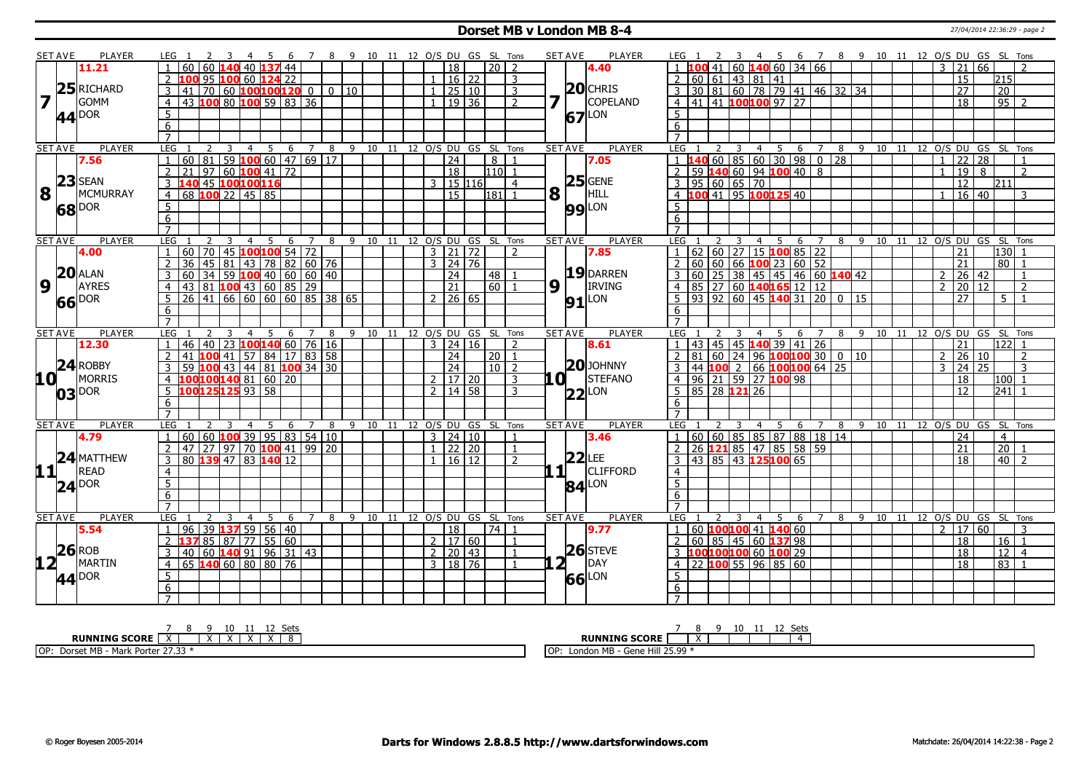#### **Dorset MB v London MB 8-4** 27/04/2014 22:36:29 - page 2

|                 | SET AVE        | PLAYER                         | LEG 1<br>$\overline{\mathbf{3}}$<br>- 45<br><sup>2</sup>                                                                   |                                | 6 7 8 9 10 11 12 O/S DU GS SL Tons |             |    |                                |                |                      |                 |                | <b>SET AVE</b>     |          | PLAYER              | LEG 1            | 2 3 |                        |                      |                                                    |                |   |   |    |    |                |                 |                 | 4 5 6 7 8 9 10 11 12 O/S DU GS SL Tons     |
|-----------------|----------------|--------------------------------|----------------------------------------------------------------------------------------------------------------------------|--------------------------------|------------------------------------|-------------|----|--------------------------------|----------------|----------------------|-----------------|----------------|--------------------|----------|---------------------|------------------|-----|------------------------|----------------------|----------------------------------------------------|----------------|---|---|----|----|----------------|-----------------|-----------------|--------------------------------------------|
|                 |                | 11.21                          | 60 60 140 40 137 44                                                                                                        |                                |                                    |             |    |                                |                | $\overline{18}$      | 20 I            | 2              |                    |          | 4.40                |                  |     |                        |                      | $1 \overline{100}$ 41 60 140 60 34 66              |                |   |   |    |    | 3              | $\overline{21}$ | 66              |                                            |
|                 |                |                                | 100 95 100 60 124 22                                                                                                       |                                |                                    |             |    |                                |                | 16 22                |                 | 3              |                    |          |                     |                  |     | 60 61 43 81 41         |                      |                                                    |                |   |   |    |    |                | 15              | 215             |                                            |
|                 |                | 25 RICHARD                     | 70 60 100 100 120 0<br>3<br> 41                                                                                            |                                |                                    | $0 \mid 10$ |    |                                | $\overline{1}$ | 25 10                |                 | 3              |                    |          | $20$ CHRIS          |                  |     |                        |                      | 3 30 81 60 78 79 41 46 32 34                       |                |   |   |    |    |                | 27              | 20              |                                            |
| 17              |                | <b>GOMM</b>                    | 43 100 80 100 59 83 36<br>$\overline{4}$                                                                                   |                                |                                    |             |    |                                |                | $1 \mid 19 \mid 36$  |                 | $\overline{2}$ | 7                  |          | COPELAND            |                  |     |                        |                      | $4   41   41$ 100100 97 27                         |                |   |   |    |    |                | 18              |                 | $\overline{95}$ 2                          |
|                 |                |                                | 5                                                                                                                          |                                |                                    |             |    |                                |                |                      |                 |                |                    |          | LON                 | 5 <sup>1</sup>   |     |                        |                      |                                                    |                |   |   |    |    |                |                 |                 |                                            |
|                 |                | $44^{DOR}$                     | 6                                                                                                                          |                                |                                    |             |    |                                |                |                      |                 |                |                    | 67       |                     | 6                |     |                        |                      |                                                    |                |   |   |    |    |                |                 |                 |                                            |
|                 |                |                                | $\overline{7}$                                                                                                             |                                |                                    |             |    |                                |                |                      |                 |                |                    |          |                     | $\overline{7}$   |     |                        |                      |                                                    |                |   |   |    |    |                |                 |                 |                                            |
|                 | SET AVE        | <b>PLAYER</b>                  | <b>LEG</b><br>$\overline{3}$<br>$\overline{4}$<br>2                                                                        | $-5$                           | 6 7 8 9 10 11 12 O/S DU GS SL Tons |             |    |                                |                |                      |                 |                | <b>SET AVE</b>     |          | <b>PLAYER</b>       | LEG              | 2   | $\overline{3}$         |                      |                                                    |                |   |   |    |    |                |                 |                 | 4 5 6 7 8 9 10 11 12 O/S DU GS SL Tons     |
|                 |                | 7.56                           | 60 81 59 100 60 47 69 17<br>$\mathbf{1}$                                                                                   |                                |                                    |             |    |                                |                | $\overline{24}$      | 8 I             | $\overline{1}$ |                    |          | 7.05                |                  |     |                        |                      | $1 \overline{140}$ 60   85   60   30   98   0   28 |                |   |   |    |    | $\mathbf{1}$   | $\overline{22}$ | 28              | $\overline{1}$                             |
|                 |                |                                | $21$ 97 60 100 41 72<br>$\overline{2}$                                                                                     |                                |                                    |             |    |                                |                | $\overline{18}$      | $1110$ 1        |                |                    |          |                     |                  |     |                        |                      | 2 59 140 60 94 100 40 8                            |                |   |   |    |    | $\mathbf{1}$   | $\overline{19}$ | 8               | $\overline{2}$                             |
|                 |                | $23$ SEAN                      | 3 140 45 100 100 116                                                                                                       |                                |                                    |             |    |                                |                | 3   15   116         |                 | $\overline{4}$ |                    |          | $25$ GENE           |                  |     | 3   95   60   65   70  |                      |                                                    |                |   |   |    |    |                | $\overline{12}$ | 1211            |                                            |
| 8               |                | <b>MCMURRAY</b>                | 68 100 22 45 85<br>$\overline{4}$                                                                                          |                                |                                    |             |    |                                |                | l 15                 | $181$ 1         |                | 8                  |          | HILL                |                  |     |                        |                      | 4 100 41 95 100 125 40                             |                |   |   |    |    | $\mathbf{1}$   | $16 \mid 40$    |                 | 3                                          |
|                 |                |                                | 5                                                                                                                          |                                |                                    |             |    |                                |                |                      |                 |                |                    |          |                     | 5                |     |                        |                      |                                                    |                |   |   |    |    |                |                 |                 |                                            |
|                 |                | 68 DOR                         | 6                                                                                                                          |                                |                                    |             |    |                                |                |                      |                 |                |                    |          | <b>99</b> LON       | 6                |     |                        |                      |                                                    |                |   |   |    |    |                |                 |                 |                                            |
|                 |                |                                |                                                                                                                            |                                |                                    |             |    |                                |                |                      |                 |                |                    |          |                     |                  |     |                        |                      |                                                    |                |   |   |    |    |                |                 |                 |                                            |
|                 | <b>SET AVE</b> | PLAYER                         | LEG 1<br>$\overline{3}$<br><sup>2</sup>                                                                                    | 4 5                            | 6 7 8 9 10 11 12 O/S DU GS SL Tons |             |    |                                |                |                      |                 |                | <b>SET AVE</b>     |          | PLAYER              | LEG              |     |                        |                      |                                                    |                |   |   |    |    |                |                 |                 | 2 3 4 5 6 7 8 9 10 11 12 O/S DU GS SL Tons |
|                 |                | 4.00                           | 60 70 45 100 100 54 72                                                                                                     |                                |                                    |             |    |                                |                | 3 21 72              |                 | $\overline{z}$ |                    |          | 7.85                |                  |     |                        |                      | $62$ 60 27 15 100 85 22                            |                |   |   |    |    |                | 21              |                 | 130                                        |
|                 |                |                                | 45   81   43   78   82   60   76<br>36                                                                                     |                                |                                    |             |    |                                |                | $3 \mid 24 \mid 76$  |                 |                |                    |          |                     |                  |     |                        |                      | 2   60   60   66   100   23   60   52              |                |   |   |    |    |                | 21              |                 | $80$   1                                   |
|                 |                | $20$ $ALAN$                    | 34   59   100   40   60   60   40<br>3<br>60 <sup>1</sup>                                                                  |                                |                                    |             |    |                                |                | $\overline{24}$      | 48              |                |                    |          | 19 DARREN           |                  |     |                        |                      | $3   60   25   38   45   45   46   60   140   42$  |                |   |   |    |    | $\overline{2}$ | $26 \mid 42$    |                 |                                            |
| $\overline{9}$  |                | AYRES                          | $\frac{36}{1}$ $\frac{1}{8}$ $\frac{1}{100}$ $\frac{1}{43}$ $\frac{1}{60}$ $\frac{1}{85}$ $\frac{1}{29}$<br>$\overline{4}$ |                                |                                    |             |    |                                |                | $\overline{21}$      | $60$ $1$        |                | 9                  |          | <b>IRVING</b>       |                  |     |                        |                      | 4 85 27 60 140165 12 12                            |                |   |   |    |    | $\mathcal{P}$  | 20 12           |                 | $\overline{2}$                             |
|                 |                | 66 DOR                         | 26 41 66 60 60 60 85 38 65<br>-5                                                                                           |                                |                                    |             |    |                                |                | $2 \mid 26 \mid 65$  |                 |                |                    |          | $91$ <sup>LON</sup> |                  |     |                        |                      | $5   93   92   60   45   140   31   20   0   15$   |                |   |   |    |    |                | 27              |                 | $5-1$                                      |
|                 |                |                                | 6                                                                                                                          |                                |                                    |             |    |                                |                |                      |                 |                |                    |          |                     | 6                |     |                        |                      |                                                    |                |   |   |    |    |                |                 |                 |                                            |
|                 |                |                                | $\overline{7}$                                                                                                             |                                |                                    |             |    |                                |                |                      |                 |                |                    |          |                     |                  |     |                        |                      |                                                    |                |   |   |    |    |                |                 |                 |                                            |
|                 | <b>SET AVE</b> | <b>PLAYER</b>                  | LEG<br>$\overline{4}$                                                                                                      | 5                              | 6 7 8                              |             |    | 9 10 11 12 0/S DU GS SL Tons   |                |                      |                 |                | <b>SET AVE</b>     |          | <b>PLAYER</b>       | LEG              |     |                        | $\overline{4}$<br>-5 | 6                                                  | $\overline{7}$ |   |   |    |    |                |                 |                 | 8 9 10 11 12 0/S DU GS SL Tons             |
|                 |                | 12.30                          | 46 40 23 100 140 60 76 16<br>$\overline{1}$                                                                                |                                |                                    |             |    |                                |                | $3 \mid 24 \mid 16$  |                 | $\overline{2}$ |                    |          | 8.61                |                  |     |                        |                      | $1   43   45   45$ 140 39 41 26                    |                |   |   |    |    |                | 21              |                 | 11221-1                                    |
|                 |                |                                | 41<br>100 41<br><sup>2</sup>                                                                                               | $\boxed{57}$ 84   17   83   58 |                                    |             |    |                                |                | 24                   | $20$   1        |                |                    |          |                     | 2                |     |                        |                      | $ 81 60 24 96$ 100100 30 0 10                      |                |   |   |    |    | $\overline{2}$ | 26              | <b>10</b>       | $\overline{2}$                             |
|                 |                | $24$ ROBBY                     | 59 100 43 44 81 100 34 30<br>3                                                                                             |                                |                                    |             |    |                                |                | $\sqrt{24}$          | 10 <sup>2</sup> |                |                    |          | $20$ JOHNNY         |                  |     |                        |                      | 3 44 100 2 66 100 100 64 25                        |                |   |   |    |    | 3              | $\overline{24}$ | $\sqrt{25}$     | $\overline{\mathbf{3}}$                    |
| 10 <sup>1</sup> |                | <b>MORRIS</b>                  | 100100140 81 60 20<br>$\overline{4}$                                                                                       |                                |                                    |             |    |                                |                | $2 \mid 17 \mid 20$  |                 | 3              | .OI 1              |          | STEFANO             |                  |     |                        |                      | 4 96 21 59 27 100 98                               |                |   |   |    |    |                | 18              |                 | l100  1                                    |
|                 |                | 03 DOR                         | 100125125 93 58<br>-5.                                                                                                     |                                |                                    |             |    |                                |                | $2 \mid 14 \mid 58$  |                 | 3              |                    |          | $22$ LON            |                  |     | 5   85   28   121   26 |                      |                                                    |                |   |   |    |    |                | 12              |                 | 241 1                                      |
|                 |                |                                | 6                                                                                                                          |                                |                                    |             |    |                                |                |                      |                 |                |                    |          |                     | 6                |     |                        |                      |                                                    |                |   |   |    |    |                |                 |                 |                                            |
|                 |                |                                | $\overline{7}$                                                                                                             |                                |                                    |             |    |                                |                |                      |                 |                |                    |          |                     | $\overline{7}$   |     |                        |                      |                                                    |                |   |   |    |    |                |                 |                 |                                            |
|                 | <b>SET AVE</b> | <b>PLAYER</b>                  | LEG 1<br>3                                                                                                                 | 4 5<br>- 6                     | $\overline{7}$                     |             |    | 8 9 10 11 12 O/S DU GS SL Tons |                |                      |                 |                | <b>SET AVE</b>     |          | <b>PLAYER</b>       | LEG <sub>1</sub> |     |                        |                      |                                                    |                |   |   |    |    |                |                 |                 | 4 5 6 7 8 9 10 11 12 O/S DU GS SL Tons     |
|                 |                | 4.79                           | 60   60   100   39   95   83   54   10<br>$\overline{1}$                                                                   |                                |                                    |             |    |                                |                | 3   24   10          |                 | $\overline{1}$ |                    |          | 3.46                |                  |     |                        |                      | 1 60 60 85 85 87 88 18 14                          |                |   |   |    |    |                | 24              | $\overline{4}$  |                                            |
|                 |                |                                | 47 27 97 70 100 41 99 20<br>2                                                                                              |                                |                                    |             |    |                                |                | 1 22 20              |                 | $\overline{1}$ |                    |          |                     |                  |     |                        |                      | 2   26 <b>121</b> 85   47   85   58   59           |                |   |   |    |    |                | 21              | $\overline{20}$ |                                            |
|                 |                |                                | 80 139 47 83 140 12<br>3                                                                                                   |                                |                                    |             |    |                                |                | $1 \mid 16 \mid 12$  |                 | $\overline{z}$ |                    | $22$ LEE |                     |                  |     |                        |                      | $3   43   85   43$ 125100 65                       |                |   |   |    |    |                | 18              |                 | $40$   2                                   |
|                 |                | $\mathbf{11}^{\text{24}}$ READ | $\overline{4}$                                                                                                             |                                |                                    |             |    |                                |                |                      |                 |                | $1\overline{1}$    |          | CLIFFORD            | $\overline{4}$   |     |                        |                      |                                                    |                |   |   |    |    |                |                 |                 |                                            |
|                 |                | $24$ <sup>DOR</sup>            | 5                                                                                                                          |                                |                                    |             |    |                                |                |                      |                 |                |                    |          | <b>84</b> LON       | $\overline{5}$   |     |                        |                      |                                                    |                |   |   |    |    |                |                 |                 |                                            |
|                 |                |                                | 6                                                                                                                          |                                |                                    |             |    |                                |                |                      |                 |                |                    |          |                     | 6                |     |                        |                      |                                                    |                |   |   |    |    |                |                 |                 |                                            |
|                 |                |                                | $\overline{7}$                                                                                                             |                                |                                    |             |    |                                |                |                      |                 |                |                    |          |                     | $\overline{7}$   |     |                        |                      |                                                    |                |   |   |    |    |                |                 |                 |                                            |
|                 | <b>SET AVE</b> | <b>PLAYER</b>                  | LEG<br>3<br>$\overline{4}$                                                                                                 | -5<br>6                        | $\overline{7}$<br>8                | 9           | 10 | 11                             |                | 12 O/S DU GS SL Tons |                 |                | <b>SET AVE</b>     |          | <b>PLAYER</b>       | LEG              |     |                        | $\overline{4}$<br>-5 | 6                                                  | $\overline{7}$ | 8 | 9 | 10 | 11 |                |                 |                 | 12 O/S DU GS SL Tons                       |
|                 |                | 5.54                           | 96 39 137 59 56 40<br>$\mathbf{1}$                                                                                         |                                |                                    |             |    |                                |                | 18                   | 74   1          |                |                    |          | 9.77                |                  |     |                        |                      | 1   60   100   100   41   140   60                 |                |   |   |    |    | $\mathcal{P}$  | 17 60           |                 | 3                                          |
|                 |                |                                | $85 \overline{87} \overline{77} \overline{55} \overline{60}$<br>$\overline{2}$                                             |                                |                                    |             |    |                                |                | 2 17 60              |                 | $\mathbf{1}$   |                    |          |                     |                  |     |                        |                      | 2   60   85   45   60   137   98                   |                |   |   |    |    |                | 18              | 16 <sup>1</sup> | $\vert$ 1                                  |
|                 |                | $26$ ROB                       | $\frac{140}{60}$ $\frac{60}{140}$ $\frac{91}{96}$ $\frac{96}{31}$ $\frac{31}{43}$<br>65 <b>140</b> 60 80 80 76<br>3        |                                |                                    |             |    |                                |                | $2 \mid 20 \mid 43$  |                 | $\mathbf{1}$   |                    |          | $26$ STEVE          |                  |     |                        |                      | 3 100100100 60 100 29                              |                |   |   |    |    |                | $\overline{18}$ | 12              | $\overline{4}$                             |
| 12 <sup>T</sup> |                | <b>MARTIN</b>                  | $\overline{4}$                                                                                                             |                                |                                    |             |    |                                |                | 3   18   76          |                 | $\mathbf{1}$   | $2^{\overline{1}}$ |          | DAY                 |                  |     |                        |                      | $4$   22 100 55   96   85   60                     |                |   |   |    |    |                | 18              |                 | 83 1                                       |
|                 |                | 44 <sup>DOR</sup>              | 5                                                                                                                          |                                |                                    |             |    |                                |                |                      |                 |                |                    |          | $66$ <sup>LON</sup> | 5 <sup>1</sup>   |     |                        |                      |                                                    |                |   |   |    |    |                |                 |                 |                                            |
|                 |                |                                | 6                                                                                                                          |                                |                                    |             |    |                                |                |                      |                 |                |                    |          |                     | 6                |     |                        |                      |                                                    |                |   |   |    |    |                |                 |                 |                                            |
|                 |                |                                |                                                                                                                            |                                |                                    |             |    |                                |                |                      |                 |                |                    |          |                     |                  |     |                        |                      |                                                    |                |   |   |    |    |                |                 |                 |                                            |
|                 |                |                                |                                                                                                                            |                                |                                    |             |    |                                |                |                      |                 |                |                    |          |                     |                  |     |                        |                      |                                                    |                |   |   |    |    |                |                 |                 |                                            |

| .اه ک                                                               | 10<br>∽∽<br>.                                                     |
|---------------------------------------------------------------------|-------------------------------------------------------------------|
| <b>RUNNING SCORE</b><br>n                                           | <b>RUNNING SCORE</b>                                              |
| $\sim$ $\sim$<br>OP:<br>Dorset MB -<br>Mark<br>$\cdot$ Porter 27.3. | $\cdot$ Hill 25.99 $\ast$<br>$MB \cdot$<br>IOP:<br>Londor<br>Genr |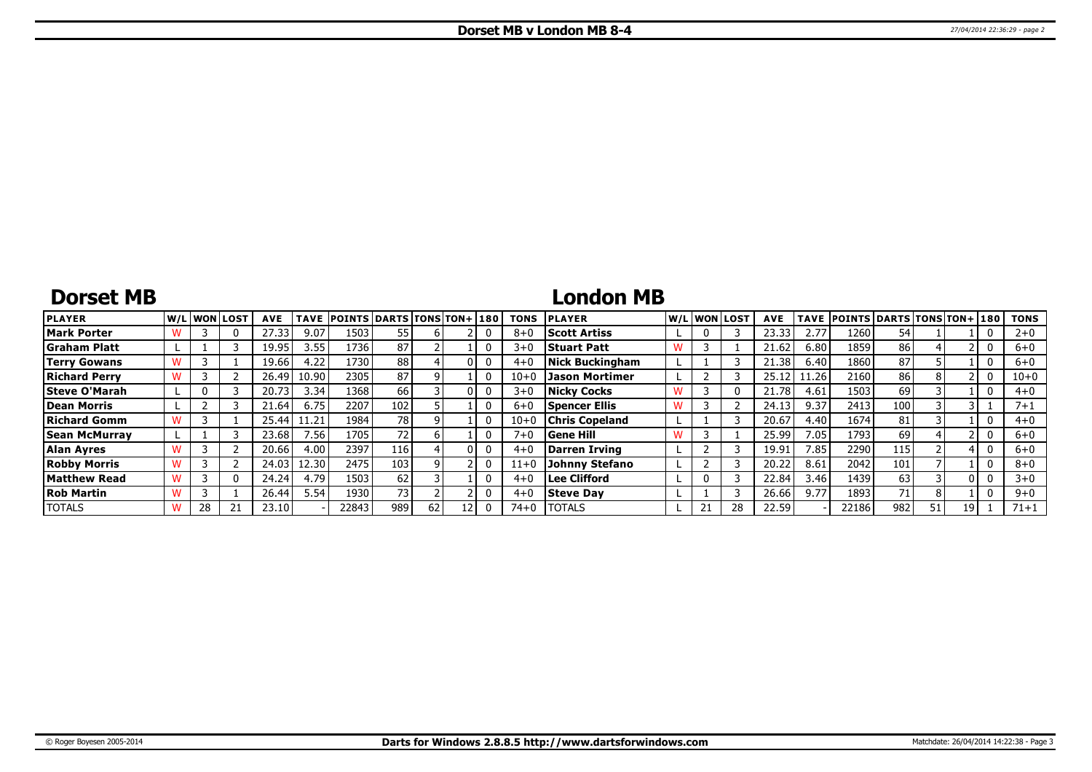# **Dorset MB**

### **London MB**

| <b>PLAYER</b>        |    | W/L WON LOST | <b>AVE</b> | <b>TAVE</b>       | <b>POINTS DARTS TONS TON+180</b> |                 |    |   | <b>TONS</b> | <b>PLAYER</b>         |   | W/L WON LOST | <b>AVE</b> | <b>TAVE</b> | <b>POINTS DARTS TONS TON+ 180</b> |     |    |    | <b>TONS</b> |
|----------------------|----|--------------|------------|-------------------|----------------------------------|-----------------|----|---|-------------|-----------------------|---|--------------|------------|-------------|-----------------------------------|-----|----|----|-------------|
| <b>Mark Porter</b>   |    |              | 27.33      | 9.07              | 1503                             | 55              |    |   | $8 + 0$     | <b>Scott Artiss</b>   |   |              | 23.33      | 2.77        | 1260                              | 54  |    |    | $2 + 0$     |
| <b>Graham Platt</b>  |    |              | 19.95      | 3.55              | 1736                             | 87              |    |   | $3 + 0$     | <b>Stuart Patt</b>    | w |              | 21.62      | 6.80        | 1859                              | 86  |    |    | $6 + 0$     |
| <b>Terry Gowans</b>  |    |              | 19.66      | 4.22              | 1730                             | 88              |    |   | $4 + 0$     | Nick Buckingham       |   |              | 21.38      | 6.40        | 1860                              | 87  |    |    | $6 + 0$     |
| <b>Richard Perry</b> |    |              | 26.49      | 10.90             | 2305                             | 87              |    |   | $10 + 0$    | Jason Mortimer        |   |              | 25.12      | 11.261      | 2160                              | 86  |    |    | $10 + 0$    |
| Steve O'Marah        |    |              | 20.73      | 3.34              | 1368                             | 66              |    | U | $3 + 0$     | Nicky Cocks           |   |              | 21.78      | 4.61        | 1503                              | 69  |    |    | $4 + 0$     |
| Dean Morris          |    |              | 21.64      | 6.75              | 2207                             | 102             |    |   | $6 + 0$     | Spencer Ellis         | w |              | 24.13      | 9.37        | 2413                              | 100 |    |    | 7+1         |
| Richard Gomm         |    |              | 25.44      | 11.21             | 1984                             | 781             |    |   | $10 + 0$    | <b>Chris Copeland</b> |   |              | 20.67      | 4.40        | 1674                              | 81  |    |    | $4 + 0$     |
| Sean McMurrav        |    |              | 23.68      | 7.56 <sub>1</sub> | 1705                             | 72 <sub>1</sub> |    |   | $7 + 0$     | Gene Hill             |   |              | 25.99      | 7.05        | 1793                              | 69  |    |    | $6 + 0$     |
| Alan Ayres           |    |              | 20.66      | 4.00              | 2397                             | 116             |    |   | $4 + 0$     | Darren Irving         |   |              | 19.91      | 7.85        | 2290                              | 115 |    |    | $6 + 0$     |
| <b>Robby Morris</b>  |    |              | 24.03      | 12.30 l           | 2475                             | 103             |    |   | $11+0$      | Johnny Stefano        |   |              | 20.22      | 8.61        | 2042                              | 101 |    |    | $8 + 0$     |
| <b>Matthew Read</b>  |    |              | 24.24      | 4.79              | 1503                             | 62              |    |   | $4 + 0$     | <b>Lee Clifford</b>   |   |              | 22.84      | 3.46        | 1439                              | 63  |    |    | $3 + 0$     |
| <b>Rob Martin</b>    |    |              | 26.44      | 5.54              | 1930                             | 73              |    |   | $4 + 0$     | <b>Steve Day</b>      |   |              | 26.66      | 9.77        | 1893                              | 71  |    |    | $9 + 0$     |
| <b>TOTALS</b>        | 28 |              | 23.10      |                   | 22843                            | 989             | 62 |   | 74+0        | <b>TOTALS</b>         |   |              | 22.59      |             | 22186                             | 982 | 51 | 19 | 71+1        |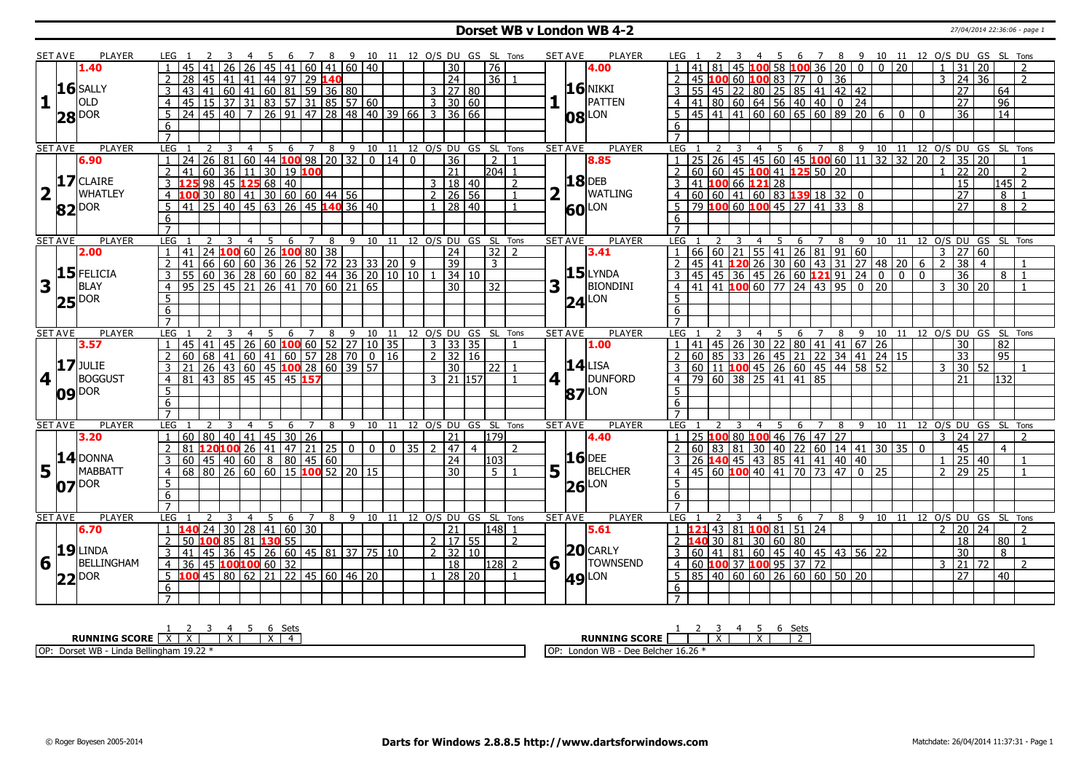### **Dorset WB v London WB 4-2** 27/04/2014 22:36:06 - page 1

|                         | <b>SET AVE</b>  |                                                                                                                                                                                                                                                                                                                                                                                                                                                             | <b>PLAYER</b> | IFG 1               | $\overline{45}$             | $\mathcal{L}$  | 26             | 26               | 45 |               | -6 | $\overline{7}$ |              | 89                                                                                                                                                    |    |                    |  |                       |                | 10 11 12 O/S DU GS SL Tons<br>$\overline{76}$ |                | <b>SET AVE</b> |                | <b>PLAYER</b>       |                  | 81           |   |                | 4 5              |                      | 45 100 58 100 36 20 0                                                       |   |   | 6 7 8 9 10 11 12 O/S DU GS SL Tons<br>$\overline{0}$ | $\overline{20}$ |            | $\overline{1}$ | 31                  |                 |                 |                            |
|-------------------------|-----------------|-------------------------------------------------------------------------------------------------------------------------------------------------------------------------------------------------------------------------------------------------------------------------------------------------------------------------------------------------------------------------------------------------------------------------------------------------------------|---------------|---------------------|-----------------------------|----------------|----------------|------------------|----|---------------|----|----------------|--------------|-------------------------------------------------------------------------------------------------------------------------------------------------------|----|--------------------|--|-----------------------|----------------|-----------------------------------------------|----------------|----------------|----------------|---------------------|------------------|--------------|---|----------------|------------------|----------------------|-----------------------------------------------------------------------------|---|---|------------------------------------------------------|-----------------|------------|----------------|---------------------|-----------------|-----------------|----------------------------|
|                         |                 | 1.40                                                                                                                                                                                                                                                                                                                                                                                                                                                        |               |                     |                             | 41             |                |                  |    |               | 41 |                |              | 60 41 60 40                                                                                                                                           |    |                    |  | $\overline{30}$       |                |                                               |                |                |                | 4.00                |                  |              |   |                |                  |                      |                                                                             |   |   |                                                      |                 |            |                |                     | 20              |                 |                            |
|                         |                 |                                                                                                                                                                                                                                                                                                                                                                                                                                                             |               | 2                   | 28                          | 45   41        |                | 41               |    |               |    |                | 44 97 29 140 |                                                                                                                                                       |    |                    |  | $\overline{24}$       |                | 36 1                                          |                |                |                |                     | $\overline{2}$   |              |   |                |                  |                      | 45 100 60 100 83 77 0 36                                                    |   |   |                                                      |                 |            | $\mathbf{3}$   | $24 \overline{)36}$ |                 |                 | $\overline{2}$             |
|                         |                 | $16$ SALLY                                                                                                                                                                                                                                                                                                                                                                                                                                                  |               | 3                   | 43 41                       |                |                |                  |    |               |    |                |              | $\frac{1}{60}$ $\frac{1}{41}$ $\frac{1}{60}$ $\frac{1}{81}$ $\frac{1}{59}$ $\frac{1}{36}$ $\frac{1}{80}$                                              |    |                    |  | $3 \mid 27 \mid 80$   |                |                                               |                |                |                | <b>16 NIKKI</b>     |                  |              |   |                |                  |                      | $3$ 55 45 22 80 25 85 41 42 42                                              |   |   |                                                      |                 |            |                | $\overline{27}$     |                 | 64              |                            |
| 1                       |                 | OLD                                                                                                                                                                                                                                                                                                                                                                                                                                                         |               | $\overline{4}$      |                             |                |                |                  |    |               |    |                |              | 45 15 37 31 83 57 31 85 57 60<br>24 45 40 7 26 91 47 28 48 40 39 66                                                                                   |    |                    |  | $3 \mid 30 \mid 60$   |                |                                               |                |                |                | PATTEN              |                  |              |   |                |                  |                      | $4 \mid 41 \mid 80 \mid 60 \mid 64 \mid 56 \mid 40 \mid 40 \mid 0 \mid 24$  |   |   |                                                      |                 |            |                | $\overline{27}$     |                 | $\overline{96}$ |                            |
|                         |                 | $28$ DOR                                                                                                                                                                                                                                                                                                                                                                                                                                                    |               | $5^{\circ}$         |                             |                |                |                  |    |               |    |                |              |                                                                                                                                                       |    |                    |  | $3 \mid 36 \mid 66$   |                |                                               |                |                |                | $ 08 ^{LON}$        |                  |              |   |                |                  |                      |                                                                             |   |   | 5 45 41 41 60 60 65 60 89 20 6 00                    |                 |            |                | $\overline{36}$     |                 | $\overline{14}$ |                            |
|                         |                 |                                                                                                                                                                                                                                                                                                                                                                                                                                                             |               | 6                   |                             |                |                |                  |    |               |    |                |              |                                                                                                                                                       |    |                    |  |                       |                |                                               |                |                |                |                     |                  |              |   |                |                  |                      |                                                                             |   |   |                                                      |                 |            |                |                     |                 |                 |                            |
|                         |                 |                                                                                                                                                                                                                                                                                                                                                                                                                                                             |               |                     |                             |                |                |                  |    |               |    |                |              |                                                                                                                                                       |    |                    |  |                       |                |                                               |                |                |                |                     |                  |              |   |                |                  |                      |                                                                             |   |   |                                                      |                 |            |                |                     |                 |                 |                            |
|                         | <b>SET AVE</b>  |                                                                                                                                                                                                                                                                                                                                                                                                                                                             | <b>PLAYER</b> | LEG                 |                             | <sup>2</sup>   | $\overline{3}$ | $\overline{4}$   | 5  |               |    |                |              |                                                                                                                                                       |    |                    |  |                       |                | 6 7 8 9 10 11 12 0/S DU GS SL Tons            |                | <b>SET AVE</b> |                | <b>PLAYER</b>       | LEG <sub>1</sub> | <sup>2</sup> |   |                |                  |                      |                                                                             |   |   | 4 5 6 7 8 9 10 11 12 O/S DU GS SL Tons               |                 |            |                |                     |                 |                 |                            |
|                         |                 |                                                                                                                                                                                                                                                                                                                                                                                                                                                             |               |                     | $\overline{24}$             |                |                |                  |    |               |    |                |              | 26 81 60 44 100 98 20 32                                                                                                                              |    | $0 \mid 14 \mid 0$ |  | $\overline{36}$       |                |                                               |                |                |                |                     |                  |              |   |                |                  |                      |                                                                             |   |   | 25 26 45 45 60 45 100 60 11 32 32 20                 |                 |            | $\overline{2}$ | $\overline{35}$     | $\overline{20}$ |                 |                            |
|                         |                 | 6.90                                                                                                                                                                                                                                                                                                                                                                                                                                                        |               |                     |                             |                |                |                  |    |               |    |                |              |                                                                                                                                                       |    |                    |  |                       |                | $\overline{2}$                                |                |                |                | 8.85                |                  |              |   |                |                  |                      |                                                                             |   |   |                                                      |                 |            |                |                     |                 |                 |                            |
|                         |                 |                                                                                                                                                                                                                                                                                                                                                                                                                                                             |               |                     | 41                          |                |                | $60 \ 36 \ 11$   |    | 30   19   100 |    |                |              |                                                                                                                                                       |    |                    |  | $\overline{21}$       |                | $204$ 1                                       |                |                |                |                     |                  |              |   |                |                  |                      | $60   60   45   100   41   125   50   20$                                   |   |   |                                                      |                 |            |                | $\overline{22}$     | $\overline{20}$ |                 | 2                          |
|                         |                 | $17$ CLAIRE                                                                                                                                                                                                                                                                                                                                                                                                                                                 |               |                     |                             |                |                |                  |    |               |    |                |              | <u>3 125 98 45 125 68 40</u><br>4 100 30 80 41 30 60 60 44 56<br>5 41 25 40 45 63 26 45 140 36 40                                                     |    |                    |  | $3 \mid 18 \mid 40$   |                |                                               | $\overline{2}$ |                |                | <b>18</b> DEB       |                  |              |   |                |                  |                      | 3 41 100 66 121 28<br>4 60 60 41 60 83 139 18 32 0                          |   |   |                                                      |                 |            |                | $\overline{15}$     |                 | $145$ 2         |                            |
| $\overline{\mathbf{2}}$ |                 | <b>WHATLEY</b>                                                                                                                                                                                                                                                                                                                                                                                                                                              |               |                     |                             |                |                |                  |    |               |    |                |              |                                                                                                                                                       |    |                    |  | $2 \mid 26 \mid 56$   |                |                                               | $\overline{1}$ |                |                | WATLING             |                  |              |   |                |                  |                      |                                                                             |   |   |                                                      |                 |            |                | $\overline{27}$     |                 | 8               | $\overline{1}$             |
|                         |                 | 82 DOR                                                                                                                                                                                                                                                                                                                                                                                                                                                      |               |                     |                             |                |                |                  |    |               |    |                |              |                                                                                                                                                       |    |                    |  | 1   28   40           |                |                                               | $\mathbf{1}$   |                |                | <b>60</b> LON       |                  |              |   |                |                  |                      | $5 \mid 79$ 100 60 100 45 27 41 33 8                                        |   |   |                                                      |                 |            |                | $\overline{27}$     |                 | 8               | $\overline{z}$             |
|                         |                 |                                                                                                                                                                                                                                                                                                                                                                                                                                                             |               | 6                   |                             |                |                |                  |    |               |    |                |              |                                                                                                                                                       |    |                    |  |                       |                |                                               |                |                |                |                     | 6                |              |   |                |                  |                      |                                                                             |   |   |                                                      |                 |            |                |                     |                 |                 |                            |
|                         |                 |                                                                                                                                                                                                                                                                                                                                                                                                                                                             |               | $\overline{7}$      |                             |                |                |                  |    |               |    |                |              |                                                                                                                                                       |    |                    |  |                       |                |                                               |                |                |                |                     |                  |              |   |                |                  |                      |                                                                             |   |   |                                                      |                 |            |                |                     |                 |                 |                            |
|                         | <b>SET AVE</b>  |                                                                                                                                                                                                                                                                                                                                                                                                                                                             | <b>PLAYER</b> | LEG                 |                             | $\overline{2}$ | 3              | $\overline{4}$   |    | 5             | 6  |                | 7 8          | 9                                                                                                                                                     |    |                    |  |                       |                | 10 11 12 0/S DU GS SL Tons                    |                | <b>SET AVE</b> |                | <b>PLAYER</b>       | LEG              |              | 3 |                | $4 \overline{5}$ |                      |                                                                             |   |   | 6 7 8 9 10 11 12 O/S DU GS SL Tons                   |                 |            |                |                     |                 |                 |                            |
|                         |                 | 2.00                                                                                                                                                                                                                                                                                                                                                                                                                                                        |               | 1   41              |                             |                |                |                  |    |               |    |                |              |                                                                                                                                                       |    |                    |  |                       |                | $32$   2                                      |                |                |                | 3.41                |                  |              |   |                |                  |                      | $1   66   60   21   55   41   26   81   91   60$                            |   |   |                                                      |                 |            | 3              | 27 60               |                 |                 |                            |
|                         |                 |                                                                                                                                                                                                                                                                                                                                                                                                                                                             |               |                     |                             |                |                |                  |    |               |    |                |              | 141 24 100 60 26 100 80 38<br>41 66 60 60 36 26 52 72 23 33 20 9<br>55 60 36 28 60 60 82 44 36 20 10 10 1 34 10<br>95 25 45 21 26 41 70 60 21 65      |    |                    |  |                       |                |                                               |                |                |                |                     |                  |              |   |                |                  |                      |                                                                             |   |   |                                                      |                 |            |                |                     |                 |                 |                            |
|                         |                 |                                                                                                                                                                                                                                                                                                                                                                                                                                                             |               | 2                   |                             |                |                |                  |    |               |    |                |              |                                                                                                                                                       |    |                    |  |                       |                | $\overline{3}$                                |                |                |                |                     | $\overline{2}$   |              |   |                |                  |                      |                                                                             |   |   | 45 41 120 26 30 60 43 31 27 48 20 6                  |                 | $\sqrt{2}$ |                | $\overline{38}$     | $\overline{4}$  |                 |                            |
|                         |                 | $15$ FELICIA                                                                                                                                                                                                                                                                                                                                                                                                                                                |               | 3                   |                             |                |                |                  |    |               |    |                |              |                                                                                                                                                       |    |                    |  |                       |                |                                               |                |                |                | $15$ LYNDA          |                  |              |   |                |                  |                      |                                                                             |   |   | $\frac{1}{45}$ 45 36 45 26 60 <b>121</b> 91 24 0 0 0 |                 |            |                | $\overline{36}$     |                 | 8               | $\vert$ 1                  |
| 3                       |                 | <b>BLAY</b>                                                                                                                                                                                                                                                                                                                                                                                                                                                 |               | $\overline{4}$      |                             |                |                |                  |    |               |    |                |              |                                                                                                                                                       |    |                    |  |                       |                | 32                                            |                | 3              |                | <b>BIONDINI</b>     |                  |              |   |                |                  |                      | $4 \mid 41 \mid 41 \mid 100 \mid 60 \mid 77 \mid 24 \mid 43 \mid 95 \mid 0$ |   |   | $\overline{20}$                                      |                 |            | $\overline{3}$ | 30 20               |                 |                 |                            |
|                         |                 | $25$ $\text{pos}$                                                                                                                                                                                                                                                                                                                                                                                                                                           |               | 5                   |                             |                |                |                  |    |               |    |                |              |                                                                                                                                                       |    |                    |  |                       |                |                                               |                |                |                | $24$ LON            |                  |              |   |                |                  |                      |                                                                             |   |   |                                                      |                 |            |                |                     |                 |                 |                            |
|                         |                 |                                                                                                                                                                                                                                                                                                                                                                                                                                                             |               | 6                   |                             |                |                |                  |    |               |    |                |              |                                                                                                                                                       |    |                    |  |                       |                |                                               |                |                |                |                     | 6                |              |   |                |                  |                      |                                                                             |   |   |                                                      |                 |            |                |                     |                 |                 |                            |
|                         |                 |                                                                                                                                                                                                                                                                                                                                                                                                                                                             |               |                     |                             |                |                |                  |    |               |    |                |              |                                                                                                                                                       |    |                    |  |                       |                |                                               |                |                |                |                     |                  |              |   |                |                  |                      |                                                                             |   |   |                                                      |                 |            |                |                     |                 |                 |                            |
|                         |                 |                                                                                                                                                                                                                                                                                                                                                                                                                                                             |               |                     |                             |                |                | $\overline{4}$   | -5 |               | 6  |                | 8            | 9                                                                                                                                                     | 10 | 11                 |  |                       |                | 12 O/S DU GS SL Tons                          |                |                | <b>SET AVE</b> | <b>PLAYER</b>       | LEG              |              |   | 4              | 5                | 6                    |                                                                             | 8 |   |                                                      |                 |            |                |                     |                 |                 | 10 11 12 O/S DU GS SL Tons |
|                         | <b>SET AVE</b>  |                                                                                                                                                                                                                                                                                                                                                                                                                                                             | <b>PLAYER</b> | LEG                 |                             |                |                |                  |    |               |    |                |              |                                                                                                                                                       |    |                    |  |                       |                |                                               |                |                |                |                     |                  |              |   |                |                  |                      |                                                                             |   | 9 |                                                      |                 |            |                |                     |                 |                 |                            |
|                         |                 |                                                                                                                                                                                                                                                                                                                                                                                                                                                             |               |                     |                             |                |                |                  |    |               |    |                |              |                                                                                                                                                       |    |                    |  |                       |                |                                               |                |                |                | 1.00                |                  |              |   |                |                  |                      |                                                                             |   |   |                                                      |                 |            |                |                     |                 |                 |                            |
|                         |                 | 3.57                                                                                                                                                                                                                                                                                                                                                                                                                                                        |               |                     |                             |                |                |                  |    |               |    |                |              |                                                                                                                                                       |    |                    |  | $3 \mid 33 \mid 35$   |                |                                               |                |                |                |                     |                  |              |   |                |                  |                      |                                                                             |   |   |                                                      |                 |            |                | 30                  |                 | 82              |                            |
|                         |                 |                                                                                                                                                                                                                                                                                                                                                                                                                                                             |               | $\overline{2}$      |                             |                |                |                  |    |               |    |                |              |                                                                                                                                                       |    |                    |  | $2 \mid 32 \mid 16$   |                |                                               |                |                |                |                     |                  |              |   |                |                  |                      |                                                                             |   |   |                                                      |                 |            |                | $\overline{33}$     |                 | 95              |                            |
|                         |                 | $17$ JULIE                                                                                                                                                                                                                                                                                                                                                                                                                                                  |               | 3                   |                             |                |                |                  |    |               |    |                |              |                                                                                                                                                       |    |                    |  | $\overline{30}$       |                | $22$ 1                                        |                |                |                | $14$ LISA           |                  |              |   |                |                  |                      |                                                                             |   |   |                                                      |                 |            | $\mathcal{R}$  | 30                  | 52              |                 |                            |
|                         | 4 <sup>1</sup>  | <b>BOGGUST</b>                                                                                                                                                                                                                                                                                                                                                                                                                                              |               | $\overline{4}$      |                             |                |                |                  |    |               |    |                |              | 145 41 45 26 60 <b>100</b> 60 52 27 10 35<br>60 68 41 60 41 60 57 28 70 0 16<br>21 26 43 60 45 <b>100</b> 28 60 39 57<br>81 43 85 45 45 45 <b>157</b> |    |                    |  | 3 21 157              |                |                                               | $\overline{1}$ | $4$            |                | DUNFORD             |                  |              |   |                |                  |                      |                                                                             |   |   |                                                      |                 |            |                | 21                  |                 | 132             |                            |
|                         |                 |                                                                                                                                                                                                                                                                                                                                                                                                                                                             |               | 5                   |                             |                |                |                  |    |               |    |                |              |                                                                                                                                                       |    |                    |  |                       |                |                                               |                |                |                |                     | 5 <sup>1</sup>   |              |   |                |                  |                      |                                                                             |   |   |                                                      |                 |            |                |                     |                 |                 |                            |
|                         |                 | $09$ $\text{DOR}$                                                                                                                                                                                                                                                                                                                                                                                                                                           |               | $6\overline{6}$     |                             |                |                |                  |    |               |    |                |              |                                                                                                                                                       |    |                    |  |                       |                |                                               |                |                |                | $87$ <sup>LON</sup> | $6 \overline{6}$ |              |   |                |                  |                      |                                                                             |   |   |                                                      |                 |            |                |                     |                 |                 |                            |
|                         |                 |                                                                                                                                                                                                                                                                                                                                                                                                                                                             |               | $\overline{7}$      |                             |                |                |                  |    |               |    |                |              |                                                                                                                                                       |    |                    |  |                       |                |                                               |                |                |                |                     | $\overline{7}$   |              |   |                |                  |                      |                                                                             |   |   |                                                      |                 |            |                |                     |                 |                 |                            |
|                         | <b>SET AVE</b>  |                                                                                                                                                                                                                                                                                                                                                                                                                                                             | <b>PLAYER</b> | LEG                 |                             | 2              | $\overline{3}$ | $\overline{4}$   | 5  |               | 6  | $\overline{7}$ |              | 89                                                                                                                                                    |    | 10 11              |  |                       |                | 12 O/S DU GS SL Tons                          |                | <b>SET AVE</b> |                | <b>PLAYER</b>       | LEG              |              |   | $\overline{4}$ |                  |                      | 5 6 7 8 9                                                                   |   |   | 10 11 12 O/S DU GS SL Tons                           |                 |            |                |                     |                 |                 |                            |
|                         |                 | 3.20                                                                                                                                                                                                                                                                                                                                                                                                                                                        |               |                     |                             |                |                |                  |    |               |    |                |              |                                                                                                                                                       |    |                    |  | $\overline{21}$       |                | 1179                                          |                |                |                | 4.40                |                  |              |   |                |                  |                      | $1 \mid 25 \mid 100 \mid 80 \mid 100 \mid 46 \mid 76 \mid 47 \mid 27$       |   |   |                                                      |                 |            | $\mathbf{3}$   | 24 27               |                 |                 | $\mathcal{L}$              |
|                         |                 |                                                                                                                                                                                                                                                                                                                                                                                                                                                             |               |                     |                             |                |                |                  |    |               |    |                |              |                                                                                                                                                       |    | $0$ 0 35 2 47      |  |                       | $\overline{4}$ |                                               | $\mathcal{L}$  |                |                |                     |                  |              |   |                |                  |                      |                                                                             |   |   | 2 60 83 81 30 40 22 60 14 41 30 35 0                 |                 |            |                | 45                  |                 | $\overline{4}$  |                            |
|                         |                 |                                                                                                                                                                                                                                                                                                                                                                                                                                                             |               | 3                   |                             |                |                |                  |    |               |    |                |              | $\frac{1}{1}$ 60 80 40 41 45 30 26 $\frac{1}{2}$ 81 <b>120 100</b> 26 41 47 21 25 0                                                                   |    |                    |  |                       |                |                                               |                |                |                | <b>16</b> DEE       |                  |              |   |                |                  |                      |                                                                             |   |   |                                                      |                 |            | $\overline{1}$ |                     |                 |                 |                            |
|                         |                 |                                                                                                                                                                                                                                                                                                                                                                                                                                                             |               |                     | $60$ 45 40 60 8 80 45 60    |                |                |                  |    |               |    |                |              |                                                                                                                                                       |    |                    |  | 24<br>$\overline{30}$ |                | 103<br>$5-1$                                  |                |                |                |                     | $\overline{4}$   |              |   |                |                  |                      | 26 140 45 43 85 41 41 40 40                                                 |   |   |                                                      |                 |            | $\overline{2}$ | $25 \mid 40$        |                 |                 |                            |
|                         |                 | $\frac{14}{5}$ $\frac{14}{\frac{1}{2} \cdot \frac{1}{2} \cdot \frac{1}{2} \cdot \frac{1}{2} \cdot \frac{1}{2} \cdot \frac{1}{2} \cdot \frac{1}{2} \cdot \frac{1}{2} \cdot \frac{1}{2} \cdot \frac{1}{2} \cdot \frac{1}{2} \cdot \frac{1}{2} \cdot \frac{1}{2} \cdot \frac{1}{2} \cdot \frac{1}{2} \cdot \frac{1}{2} \cdot \frac{1}{2} \cdot \frac{1}{2} \cdot \frac{1}{2} \cdot \frac{1}{2} \cdot \frac{1}{2} \cdot \frac{1}{2} \cdot \frac{1}{$<br>MABBATT |               | $\overline{4}$      |                             |                |                |                  |    |               |    |                |              | 68 80 26 60 60 15 <b>100</b> 52 20 15                                                                                                                 |    |                    |  |                       |                |                                               |                | 5              |                | <b>BELCHER</b>      |                  |              |   |                |                  |                      | 45 60 100 40 41 70 73 47 0 25                                               |   |   |                                                      |                 |            |                | 29 25               |                 |                 |                            |
|                         |                 | $07$ $\text{pos}$                                                                                                                                                                                                                                                                                                                                                                                                                                           |               | 5                   |                             |                |                |                  |    |               |    |                |              |                                                                                                                                                       |    |                    |  |                       |                |                                               |                |                |                | $26$ LON            | 5                |              |   |                |                  |                      |                                                                             |   |   |                                                      |                 |            |                |                     |                 |                 |                            |
|                         |                 |                                                                                                                                                                                                                                                                                                                                                                                                                                                             |               | 6                   |                             |                |                |                  |    |               |    |                |              |                                                                                                                                                       |    |                    |  |                       |                |                                               |                |                |                |                     | 6                |              |   |                |                  |                      |                                                                             |   |   |                                                      |                 |            |                |                     |                 |                 |                            |
|                         |                 |                                                                                                                                                                                                                                                                                                                                                                                                                                                             |               |                     |                             |                |                |                  |    |               |    |                |              |                                                                                                                                                       |    |                    |  |                       |                |                                               |                |                |                |                     |                  |              |   |                |                  |                      |                                                                             |   |   |                                                      |                 |            |                |                     |                 |                 |                            |
|                         | <b>SET AVE</b>  |                                                                                                                                                                                                                                                                                                                                                                                                                                                             | <b>PLAYER</b> | <b>LEG</b>          |                             |                |                | $\overline{4}$   |    | .5            | 6  | $\overline{7}$ | 8            | 9                                                                                                                                                     | 10 | 11                 |  |                       |                | 12 O/S DU GS SL Tons                          |                | <b>SET AVE</b> |                | <b>PLAYER</b>       | LEG              |              |   |                | -5               | 6                    | $\overline{7}$                                                              | 8 | 9 | 10                                                   | 11              |            |                |                     |                 |                 | 12 O/S DU GS SL Tons       |
|                         |                 | 6.70                                                                                                                                                                                                                                                                                                                                                                                                                                                        |               |                     | $1 \t140$ 24 30 28 41 60 30 |                |                |                  |    |               |    |                |              |                                                                                                                                                       |    |                    |  | 21                    |                | $ 148 $ 1                                     |                |                |                | 5.61                |                  |              |   |                |                  |                      | 1 <b>121</b> 43 81 <b>100</b> 81 51 24                                      |   |   |                                                      |                 |            | $\overline{2}$ | 20 24               |                 |                 |                            |
|                         |                 |                                                                                                                                                                                                                                                                                                                                                                                                                                                             |               | 2                   | 50 100 85 81 130 55         |                |                |                  |    |               |    |                |              |                                                                                                                                                       |    |                    |  | $\overline{2}$ 17 55  |                |                                               | $\overline{2}$ |                |                |                     | 2 <sub>1</sub>   |              |   |                |                  | $-40$ 30 81 30 60 80 |                                                                             |   |   |                                                      |                 |            |                | 18                  |                 | 80              |                            |
|                         |                 | $19$ LINDA                                                                                                                                                                                                                                                                                                                                                                                                                                                  |               | 3                   | 41                          |                |                |                  |    |               |    |                |              | 45 36 45 26 60 45 81 37 75 10                                                                                                                         |    |                    |  | $2 \mid 32 \mid 10$   |                |                                               |                |                |                | $20$ CARLY          |                  |              |   |                |                  |                      | 3 60 41 81 60 45 40 45 43 56 22                                             |   |   |                                                      |                 |            |                | $\overline{30}$     |                 | 8               |                            |
|                         | $6\overline{1}$ | BELLINGHAM                                                                                                                                                                                                                                                                                                                                                                                                                                                  |               | $\overline{4}$      | 36                          |                |                | 45 100 100 60 32 |    |               |    |                |              |                                                                                                                                                       |    |                    |  | $\overline{18}$       |                | $128$ 2                                       |                | 6              |                | <b>TOWNSEND</b>     |                  |              |   |                |                  |                      | 4 60 100 37 100 95 37 72                                                    |   |   |                                                      |                 |            | 3              | $\overline{21}$     | 72              |                 | $\overline{2}$             |
|                         |                 |                                                                                                                                                                                                                                                                                                                                                                                                                                                             |               |                     |                             |                |                |                  |    |               |    |                |              | $\overline{5}$ 100 45 80 62 21 22 45 60 46 20                                                                                                         |    |                    |  | $1 \mid 28 \mid 20$   |                |                                               |                |                |                |                     |                  |              |   |                |                  |                      | $5   85   40   60   60   26   60   60   50   20$                            |   |   |                                                      |                 |            |                | $\overline{27}$     |                 | 40              |                            |
|                         | 22              | <b>DOR</b>                                                                                                                                                                                                                                                                                                                                                                                                                                                  |               |                     |                             |                |                |                  |    |               |    |                |              |                                                                                                                                                       |    |                    |  |                       |                |                                               |                |                |                | <b>49 LON</b>       |                  |              |   |                |                  |                      |                                                                             |   |   |                                                      |                 |            |                |                     |                 |                 |                            |
|                         |                 |                                                                                                                                                                                                                                                                                                                                                                                                                                                             |               | 6<br>$\overline{7}$ |                             |                |                |                  |    |               |    |                |              |                                                                                                                                                       |    |                    |  |                       |                |                                               |                |                |                |                     |                  |              |   |                |                  |                      |                                                                             |   |   |                                                      |                 |            |                |                     |                 |                 |                            |

| Setr<br><b>JULJ</b>                                                       | Set <sup>.</sup><br>ーー                                                          |
|---------------------------------------------------------------------------|---------------------------------------------------------------------------------|
| <b>SCORI</b><br><b>RUNNING</b><br>$\ddot{\phantom{1}}$<br>$\epsilon$<br>. | <b>RUNNING SCORE</b>                                                            |
| lingham 19.22<br>OP:<br>WB<br>Dorset<br>Tinda                             | $\sim$ 200<br>∩n<br><b>MD</b><br>nee Belcher.<br>Londor<br>16.26<br>ושו<br>VV L |